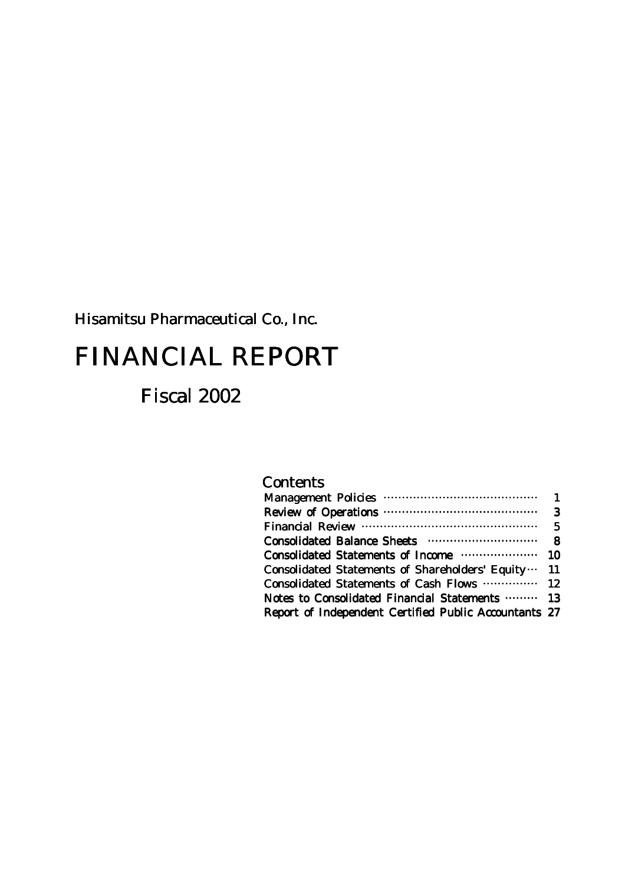Hisamitsu Pharmaceutical Co., Inc. Inc.

# FINANCIAL REPORT

# Fiscal 2002

## **Contents**

| Consolidated Statements of Shareholders' Equity  11   |  |
|-------------------------------------------------------|--|
| Consolidated Statements of Cash Flows  12             |  |
| Notes to Consolidated Financial Statements  13        |  |
| Report of Independent Certified Public Accountants 27 |  |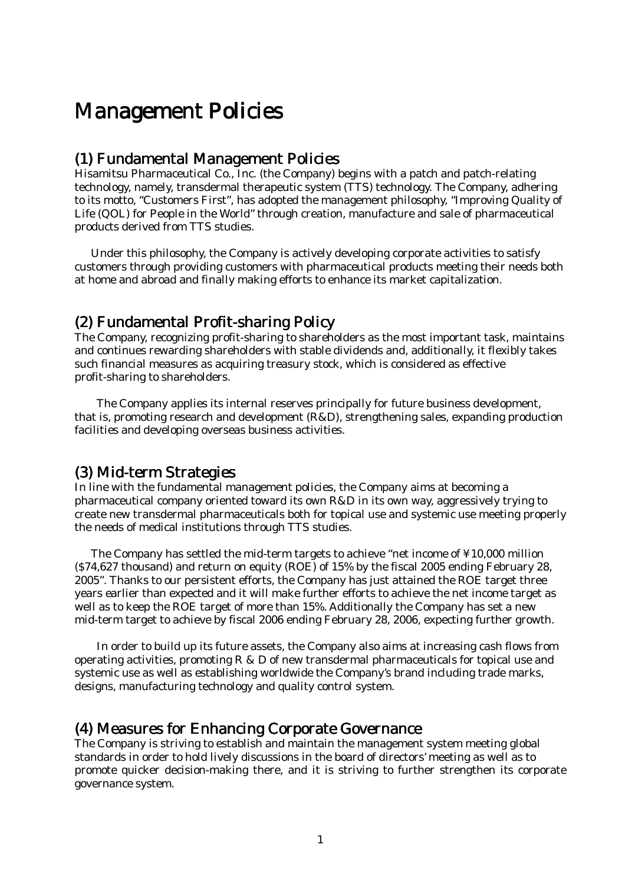# **Management Policies**

## (1) Fundamental Management Policies

Hisamitsu Pharmaceutical Co., Inc. (the Company) begins with a patch and patch-relating technology, namely, transdermal therapeutic system (TTS) technology. The Company, adhering to its motto, "Customers First", has adopted the management philosophy, "Improving Quality of Life (QOL) for People in the World" through creation, manufacture and sale of pharmaceutical products derived from TTS studies.

 Under this philosophy, the Company is actively developing corporate activities to satisfy customers through providing customers with pharmaceutical products meeting their needs both at home and abroad and finally making efforts to enhance its market capitalization.

## (2) Fundamental Profit-sharing Policy

The Company, recognizing profit-sharing to shareholders as the most important task, maintains and continues rewarding shareholders with stable dividends and, additionally, it flexibly takes such financial measures as acquiring treasury stock, which is considered as effective profit-sharing to shareholders.

The Company applies its internal reserves principally for future business development, that is, promoting research and development (R&D), strengthening sales, expanding production facilities and developing overseas business activities.

## $(3)$  Mid-term Strategies

In line with the fundamental management policies, the Company aims at becoming a pharmaceutical company oriented toward its own R&D in its own way, aggressively trying to create new transdermal pharmaceuticals both for topical use and systemic use meeting properly the needs of medical institutions through TTS studies.

 The Company has settled the mid-term targets to achieve "net income of ¥10,000 million (\$74,627 thousand) and return on equity (ROE) of 15% by the fiscal 2005 ending February 28, 2005". Thanks to our persistent efforts, the Company has just attained the ROE target three years earlier than expected and it will make further efforts to achieve the net income target as well as to keep the ROE target of more than 15%. Additionally the Company has set a new mid-term target to achieve by fiscal 2006 ending February 28, 2006, expecting further growth.

In order to build up its future assets, the Company also aims at increasing cash flows from operating activities, promoting  $R \& D$  of new transdermal pharmaceuticals for topical use and systemic use as well as establishing worldwide the Company's brand including trade marks, designs, manufacturing technology and quality control system.

## (4) Measures for Enhancing Corporate Governance Governance

The Company is striving to establish and maintain the management system meeting global standards in order to hold lively discussions in the board of directors' meeting as well as to promote quicker decision-making there, and it is striving to further strengthen its corporate governance system.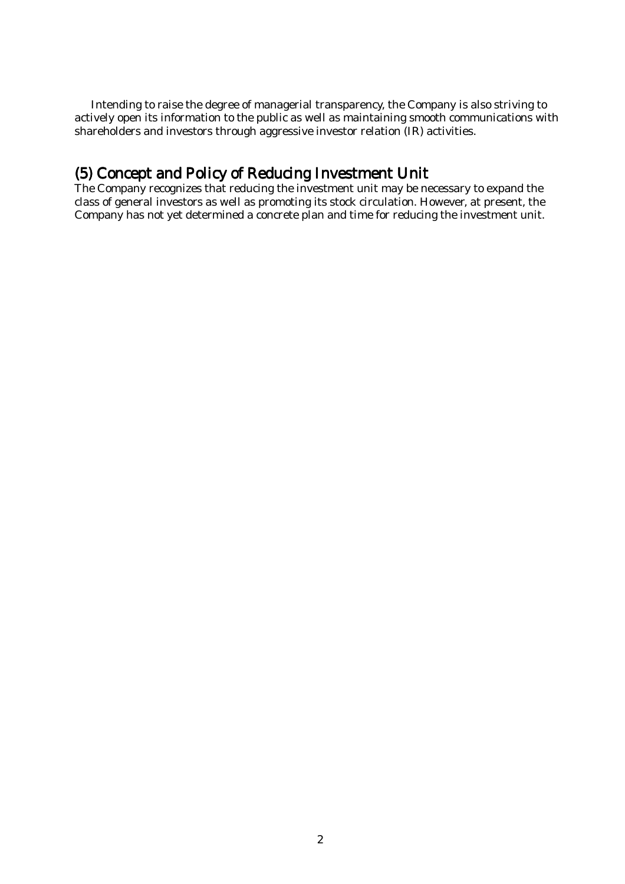Intending to raise the degree of managerial transparency, the Company is also striving to actively open its information to the public as well as maintaining smooth communications with shareholders and investors through aggressive investor relation (IR) activities.

## (5) Concept and Policy of Reducing Investment Unit

The Company recognizes that reducing the investment unit may be necessary to expand the class of general investors as well as promoting its stock circulation. However, at present, the Company has not yet determined a concrete plan and time for reducing the investment unit.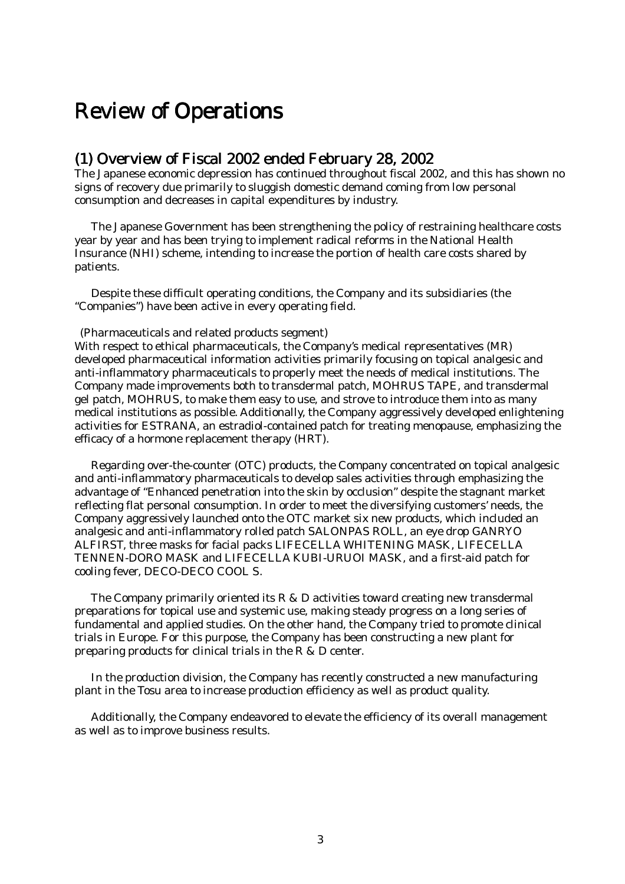# **Review of Operations**

## $(1)$  Overview of Fiscal 2002 ended February 28, 2002

The Japanese economic depression has continued throughout fiscal 2002, and this has shown no signs of recovery due primarily to sluggish domestic demand coming from low personal consumption and decreases in capital expenditures by industry.

The Japanese Government has been strengthening the policy of restraining healthcare costs year by year and has been trying to implement radical reforms in the National Health Insurance (NHI) scheme, intending to increase the portion of health care costs shared by patients.

Despite these difficult operating conditions, the Company and its subsidiaries (the "Companies") have been active in every operating field.

#### (Pharmaceuticals and related products segment)

With respect to ethical pharmaceuticals, the Company's medical representatives (MR) developed pharmaceutical information activities primarily focusing on topical analgesic and anti-inflammatory pharmaceuticals to properly meet the needs of medical institutions. The Company made improvements both to transdermal patch, MOHRUS TAPE, and transdermal gel patch, MOHRUS, to make them easy to use, and strove to introduce them into as many medical institutions as possible. Additionally, the Company aggressively developed enlightening activities for ESTRANA, an estradiol-contained patch for treating menopause, emphasizing the efficacy of a hormone replacement therapy (HRT).

 Regarding over-the-counter (OTC) products, the Company concentrated on topical analgesic and anti-inflammatory pharmaceuticals to develop sales activities through emphasizing the advantage of "Enhanced penetration into the skin by occlusion" despite the stagnant market reflecting flat personal consumption. In order to meet the diversifying customers' needs, the Company aggressively launched onto the OTC market six new products, which included an analgesic and anti-inflammatory rolled patch SALONPAS ROLL, an eye drop GANRYO ALFIRST, three masks for facial packs LIFECELLA WHITENING MASK, LIFECELLA TENNEN-DORO MASK and LIFECELLA KUBI-URUOI MASK, and a first-aid patch for cooling fever, DECO-DECO COOL S.

 The Company primarily oriented its R & D activities toward creating new transdermal preparations for topical use and systemic use, making steady progress on a long series of fundamental and applied studies. On the other hand, the Company tried to promote clinical trials in Europe. For this purpose, the Company has been constructing a new plant for preparing products for clinical trials in the R & D center.

In the production division, the Company has recently constructed a new manufacturing plant in the Tosu area to increase production efficiency as well as product quality.

Additionally, the Company endeavored to elevate the efficiency of its overall management as well as to improve business results.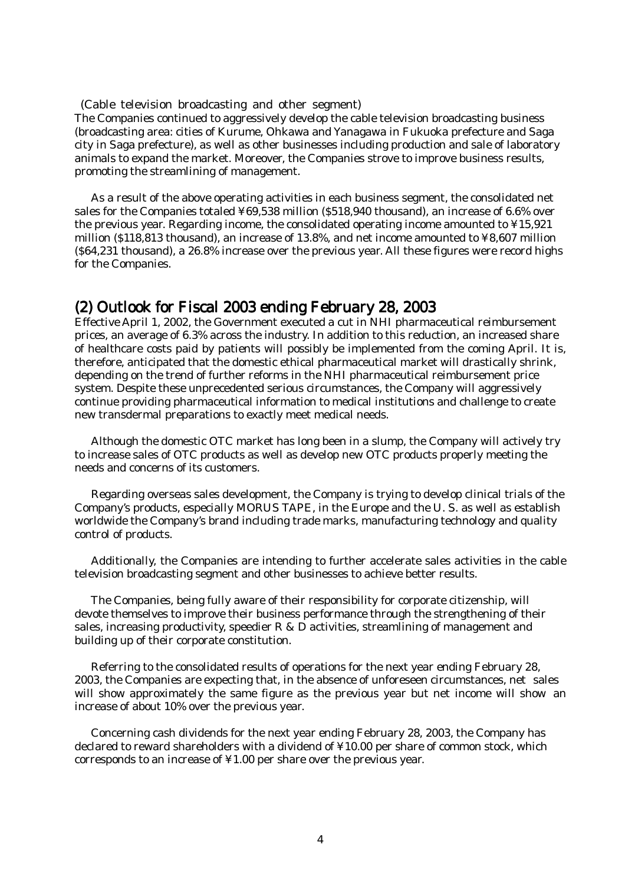(Cable television broadcasting and other segment) The Companies continued to aggressively develop the cable television broadcasting business

(broadcasting area: cities of Kurume, Ohkawa and Yanagawa in Fukuoka prefecture and Saga city in Saga prefecture), as well as other businesses including production and sale of laboratory animals to expand the market. Moreover, the Companies strove to improve business results, promoting the streamlining of management.

As a result of the above operating activities in each business segment, the consolidated net sales for the Companies totaled ¥69,538 million (\$518,940 thousand), an increase of 6.6% over the previous year. Regarding income, the consolidated operating income amounted to ¥15,921 million (\$118,813 thousand), an increase of 13.8%, and net income amounted to ¥8,607 million (\$64,231 thousand), a 26.8% increase over the previous year. All these figures were record highs for the Companies.

## $(2)$  Outlook for Fiscal 2003 ending February 28, 2003

Effective April 1, 2002, the Government executed a cut in NHI pharmaceutical reimbursement prices, an average of 6.3% across the industry. In addition to this reduction, an increased share of healthcare costs paid by patients will possibly be implemented from the coming April. It is, therefore, anticipated that the domestic ethical pharmaceutical market will drastically shrink, depending on the trend of further reforms in the NHI pharmaceutical reimbursement price system. Despite these unprecedented serious circumstances, the Company will aggressively continue providing pharmaceutical information to medical institutions and challenge to create new transdermal preparations to exactly meet medical needs.

Although the domestic OTC market has long been in a slump, the Company will actively try to increase sales of OTC products as well as develop new OTC products properly meeting the needs and concerns of its customers.

Regarding overseas sales development, the Company is trying to develop clinical trials of the Company's products, especially MORUS TAPE, in the Europe and the U. S. as well as establish worldwide the Company's brand including trade marks, manufacturing technology and quality control of products.

Additionally, the Companies are intending to further accelerate sales activities in the cable television broadcasting segment and other businesses to achieve better results.

 The Companies, being fully aware of their responsibility for corporate citizenship, will devote themselves to improve their business performance through the strengthening of their sales, increasing productivity, speedier  $R \& D$  activities, streamlining of management and building up of their corporate constitution.

 Referring to the consolidated results of operations for the next year ending February 28, 2003, the Companies are expecting that, in the absence of unforeseen circumstances, net sales will show approximately the same figure as the previous year but net income will show an increase of about 10% over the previous year.

 Concerning cash dividends for the next year ending February 28, 2003, the Company has declared to reward shareholders with a dividend of ¥10.00 per share of common stock, which corresponds to an increase of ¥1.00 per share over the previous year.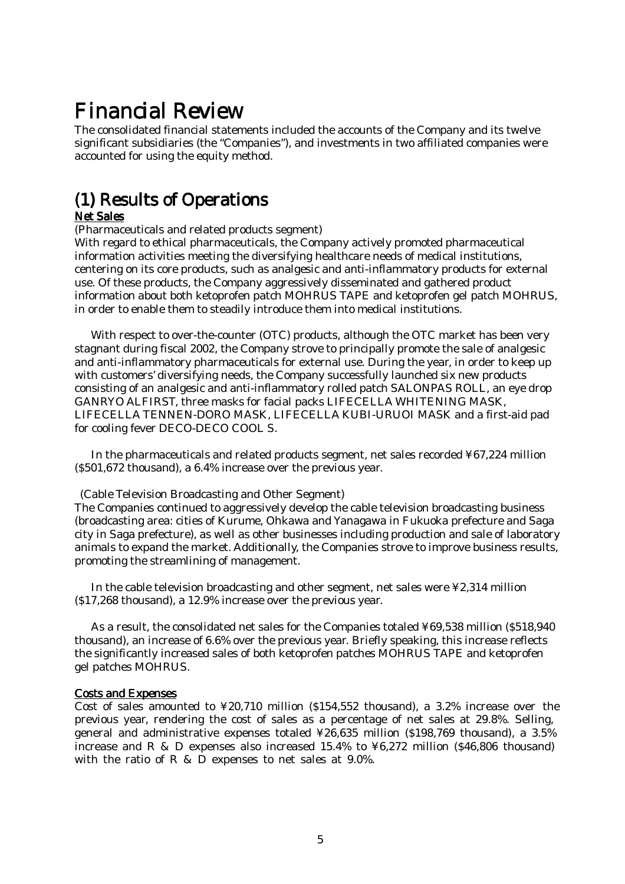# Financial Review

The consolidated financial statements included the accounts of the Company and its twelve significant subsidiaries (the "Companies"), and investments in two affiliated companies were accounted for using the equity method.

# (1) Results of Operations

### Net Sales

(Pharmaceuticals and related products segment)

With regard to ethical pharmaceuticals, the Company actively promoted pharmaceutical information activities meeting the diversifying healthcare needs of medical institutions, centering on its core products, such as analgesic and anti-inflammatory products for external use. Of these products, the Company aggressively disseminated and gathered product information about both ketoprofen patch MOHRUS TAPE and ketoprofen gel patch MOHRUS, in order to enable them to steadily introduce them into medical institutions.

 With respect to over-the-counter (OTC) products, although the OTC market has been very stagnant during fiscal 2002, the Company strove to principally promote the sale of analgesic and anti-inflammatory pharmaceuticals for external use. During the year, in order to keep up with customers' diversifying needs, the Company successfully launched six new products consisting of an analgesic and anti-inflammatory rolled patch SALONPAS ROLL, an eye drop GANRYO ALFIRST, three masks for facial packs LIFECELLA WHITENING MASK, LIFECELLA TENNEN-DORO MASK, LIFECELLA KUBI-URUOI MASK and a first-aid pad for cooling fever DECO-DECO COOL S.

 In the pharmaceuticals and related products segment, net sales recorded ¥67,224 million (\$501,672 thousand), a 6.4% increase over the previous year.

(Cable Television Broadcasting and Other Segment)

The Companies continued to aggressively develop the cable television broadcasting business (broadcasting area: cities of Kurume, Ohkawa and Yanagawa in Fukuoka prefecture and Saga city in Saga prefecture), as well as other businesses including production and sale of laboratory animals to expand the market. Additionally, the Companies strove to improve business results, promoting the streamlining of management.

In the cable television broadcasting and other segment, net sales were ¥2,314 million (\$17,268 thousand), a 12.9% increase over the previous year.

As a result, the consolidated net sales for the Companies totaled ¥69,538 million (\$518,940 thousand), an increase of 6.6% over the previous year. Briefly speaking, this increase reflects the significantly increased sales of both ketoprofen patches MOHRUS TAPE and ketoprofen gel patches MOHRUS.

#### Costs and Expenses

Cost of sales amounted to  $\frac{1}{20}$ ,  $\frac{20,710}{20}$  million (\$154,552 thousand), a 3.2% increase over the previous year, rendering the cost of sales as a percentage of net sales at 29.8%. Selling, general and administrative expenses totaled ¥26,635 million (\$198,769 thousand), a 3.5% increase and R & D expenses also increased 15.4% to ¥6,272 million (\$46,806 thousand) with the ratio of R & D expenses to net sales at 9.0%.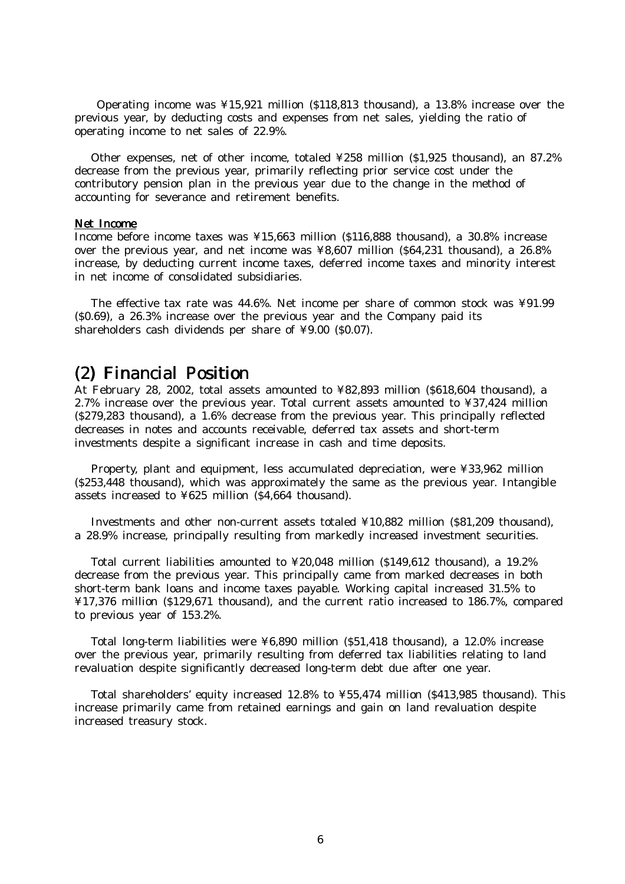Operating income was ¥15,921 million (\$118,813 thousand), a 13.8% increase over the previous year, by deducting costs and expenses from net sales, yielding the ratio of operating income to net sales of 22.9%.

 Other expenses, net of other income, totaled ¥258 million (\$1,925 thousand), an 87.2% decrease from the previous year, primarily reflecting prior service cost under the contributory pension plan in the previous year due to the change in the method of accounting for severance and retirement benefits.

#### Net Income

Income before income taxes was ¥15,663 million (\$116,888 thousand), a 30.8% increase over the previous year, and net income was ¥8,607 million (\$64,231 thousand), a 26.8% increase, by deducting current income taxes, deferred income taxes and minority interest in net income of consolidated subsidiaries.

The effective tax rate was 44.6%. Net income per share of common stock was ¥91.99 (\$0.69), a 26.3% increase over the previous year and the Company paid its shareholders cash dividends per share of ¥9.00 (\$0.07).

## $(2)$  Financial Position

At February 28, 2002, total assets amounted to ¥82,893 million (\$618,604 thousand), a 2.7% increase over the previous year. Total current assets amounted to ¥37,424 million (\$279,283 thousand), a 1.6% decrease from the previous year. This principally reflected decreases in notes and accounts receivable, deferred tax assets and short-term investments despite a significant increase in cash and time deposits.

Property, plant and equipment, less accumulated depreciation, were ¥33,962 million (\$253,448 thousand), which was approximately the same as the previous year. Intangible assets increased to ¥625 million (\$4,664 thousand).

Investments and other non-current assets totaled ¥10,882 million (\$81,209 thousand), a 28.9% increase, principally resulting from markedly increased investment securities.

Total current liabilities amounted to ¥20,048 million (\$149,612 thousand), a 19.2% decrease from the previous year. This principally came from marked decreases in both short-term bank loans and income taxes payable. Working capital increased 31.5% to ¥17,376 million (\$129,671 thousand), and the current ratio increased to 186.7%, compared to previous year of 153.2%.

Total long-term liabilities were ¥6,890 million (\$51,418 thousand), a 12.0% increase over the previous year, primarily resulting from deferred tax liabilities relating to land revaluation despite significantly decreased long-term debt due after one year.

Total shareholders' equity increased 12.8% to ¥55,474 million (\$413,985 thousand). This increase primarily came from retained earnings and gain on land revaluation despite increased treasury stock.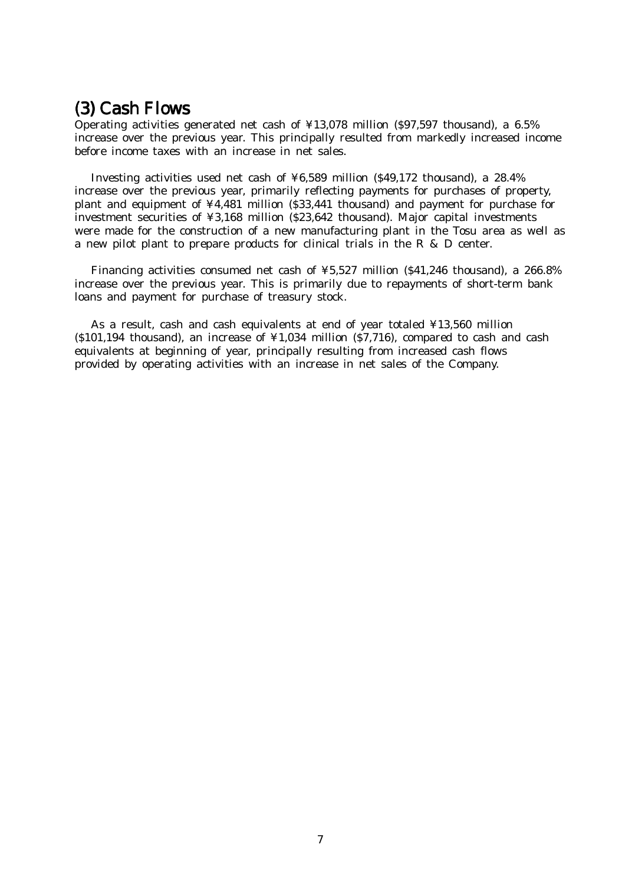## $(3)$  Cash Flows

Operating activities generated net cash of  $\frac{1}{4}$ 13,078 million (\$97,597 thousand), a 6.5% increase over the previous year. This principally resulted from markedly increased income before income taxes with an increase in net sales.

Investing activities used net cash of ¥6,589 million (\$49,172 thousand), a 28.4% increase over the previous year, primarily reflecting payments for purchases of property, plant and equipment of ¥4,481 million (\$33,441 thousand) and payment for purchase for investment securities of ¥3,168 million (\$23,642 thousand). Major capital investments were made for the construction of a new manufacturing plant in the Tosu area as well as a new pilot plant to prepare products for clinical trials in the R & D center.

Financing activities consumed net cash of ¥5,527 million (\$41,246 thousand), a 266.8% increase over the previous year. This is primarily due to repayments of short-term bank loans and payment for purchase of treasury stock.

As a result, cash and cash equivalents at end of year totaled ¥13,560 million (\$101,194 thousand), an increase of  $\frac{1}{4}1,034$  million (\$7,716), compared to cash and cash equivalents at beginning of year, principally resulting from increased cash flows provided by operating activities with an increase in net sales of the Company.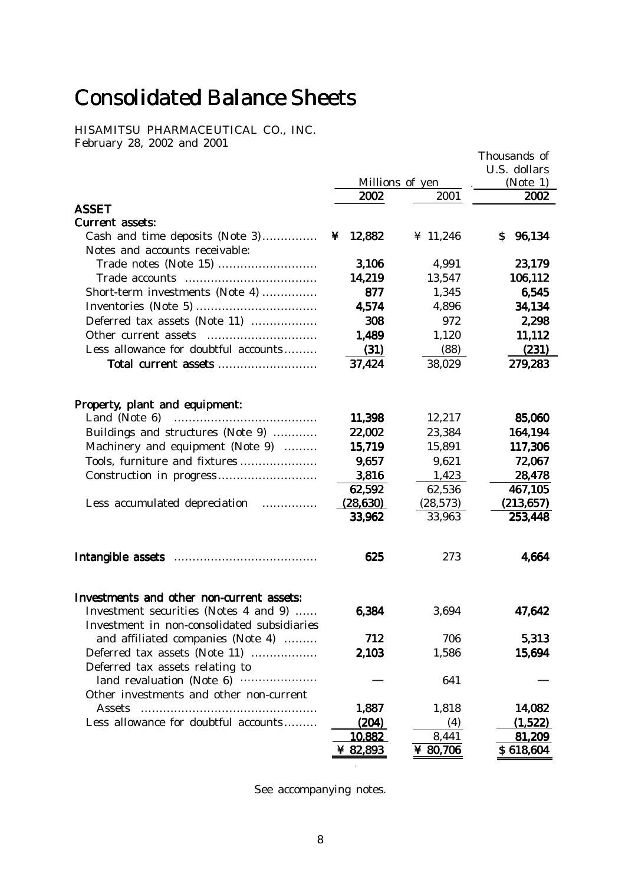# **Consolidated Balance Sheets**

HISAMITSU PHARMACEUTICAL CO., INC. February 28, 2002 and 2001

|                                                  |           |                 | Thousands of |
|--------------------------------------------------|-----------|-----------------|--------------|
|                                                  |           |                 | U.S. dollars |
|                                                  |           | Millions of yen | (Note 1)     |
|                                                  | 2002      | 2001            | 2002         |
| <b>ASSET</b>                                     |           |                 |              |
| Current assets:                                  |           |                 |              |
| Cash and time deposits (Note 3)                  | ¥ 12,882  | ¥ 11,246        | 96,134<br>S. |
| Notes and accounts receivable:                   |           |                 |              |
|                                                  | 3,106     | 4,991           | 23,179       |
|                                                  | 14,219    | 13,547          | 106,112      |
| Short-term investments (Note 4)                  | 877       | 1,345           | 6,545        |
|                                                  | 4,574     | 4,896           | 34,134       |
| Deferred tax assets (Note 11)                    | 308       | 972             | 2,298        |
|                                                  | 1,489     | 1,120           | 11,112       |
| Less allowance for doubtful accounts             | (31)      | (88)            | (231)        |
| Total current assets                             | 37,424    | 38,029          | 279,283      |
| Property, plant and equipment:                   |           |                 |              |
|                                                  | 11,398    | 12,217          | 85,060       |
| Buildings and structures (Note 9)                | 22,002    | 23,384          | 164,194      |
| Machinery and equipment (Note 9)                 | 15,719    | 15,891          | 117,306      |
| Tools, furniture and fixtures                    | 9,657     | 9,621           | 72,067       |
|                                                  | 3,816     | 1,423           | 28,478       |
|                                                  | 62,592    | 62,536          | 467,105      |
| Less accumulated depreciation                    | (28, 630) | (28, 573)       | (213, 657)   |
|                                                  | 33,962    | 33,963          | 253,448      |
|                                                  | 625       | 273             | 4,664        |
|                                                  |           |                 |              |
| Investments and other non-current assets:        |           |                 |              |
| Investment securities (Notes 4 and 9)            | 6,384     | 3,694           | 47,642       |
| Investment in non-consolidated subsidiaries      |           |                 |              |
| and affiliated companies (Note 4)                | 712       | 706             | 5,313        |
| Deferred tax assets (Note 11)                    | 2,103     | 1,586           | 15,694       |
| Deferred tax assets relating to                  |           |                 |              |
| land revaluation (Note 6) ······················ |           | 641             |              |
| Other investments and other non-current          |           |                 |              |
| Assets                                           | 1,887     | 1,818           | 14,082       |
| Less allowance for doubtful accounts             | (204)     | (4)             | (1,522)      |
|                                                  | 10,882    | 8,441           | 81,209       |
|                                                  | ¥ 82,893  | ¥ $80,706$      | \$618,604    |

See accompanying notes.

 $\overline{a}$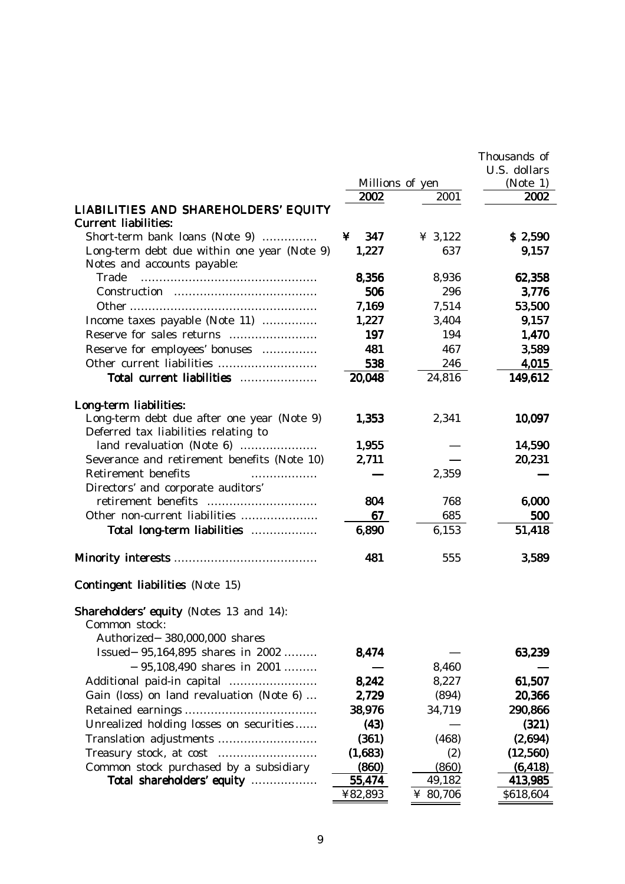|                                                                                                              |                 |          | Thousands of |
|--------------------------------------------------------------------------------------------------------------|-----------------|----------|--------------|
|                                                                                                              |                 |          | U.S. dollars |
|                                                                                                              | Millions of yen |          | (Note 1)     |
|                                                                                                              | 2002            | 2001     | 2002         |
| LIABILITIES AND SHAREHOLDERS' EQUITY<br><b>Current liabilities:</b>                                          |                 |          |              |
| Short-term bank loans (Note 9)                                                                               | 347<br>¥        | ¥ 3,122  | \$2,590      |
| Long-term debt due within one year (Note 9)<br>Notes and accounts payable:                                   | 1,227           | 637      | 9,157        |
| Trade                                                                                                        | 8,356           | 8,936    | 62,358       |
|                                                                                                              | 506             | 296      | 3,776        |
|                                                                                                              | 7,169           | 7,514    | 53,500       |
| Income taxes payable (Note 11)                                                                               | 1,227           | 3,404    | 9,157        |
|                                                                                                              | 197             | 194      | 1,470        |
| Reserve for employees' bonuses                                                                               | 481             | 467      | 3,589        |
|                                                                                                              | 538             | 246      | 4,015        |
| Total current liabilities                                                                                    | 20,048          | 24,816   | 149,612      |
|                                                                                                              |                 |          |              |
| Long-term liabilities:<br>Long-term debt due after one year (Note 9)<br>Deferred tax liabilities relating to | 1,353           | 2,341    | 10,097       |
|                                                                                                              | 1,955           |          | 14,590       |
| Severance and retirement benefits (Note 10)                                                                  | 2,711           |          | 20,231       |
| Retirement benefits<br>.                                                                                     |                 | 2,359    |              |
| Directors' and corporate auditors'                                                                           |                 |          |              |
|                                                                                                              | 804             | 768      | 6,000        |
| Other non-current liabilities                                                                                | 67              | 685      | 500          |
| Total long-term liabilities                                                                                  | 6,890           | 6,153    | 51,418       |
|                                                                                                              | 481             | 555      | 3,589        |
| <b>Contingent liabilities</b> (Note 15)                                                                      |                 |          |              |
| Shareholders' equity (Notes 13 and 14):<br>Common stock:<br>Authorized<br>380,000,000 shares                 |                 |          |              |
| <b>Issued</b><br>95,164,895 shares in 2002                                                                   | 8,474           |          | 63,239       |
| 95,108,490 shares in 2001                                                                                    |                 | 8,460    |              |
|                                                                                                              | 8,242           | 8,227    | 61,507       |
| Gain (loss) on land revaluation (Note 6)                                                                     | 2,729           | (894)    | 20,366       |
|                                                                                                              | 38,976          | 34,719   | 290,866      |
| Unrealized holding losses on securities                                                                      | (43)            |          | (321)        |
|                                                                                                              | (361)           | (468)    | (2,694)      |
|                                                                                                              | (1,683)         | (2)      | (12, 560)    |
| Common stock purchased by a subsidiary                                                                       | (860)           | (860)    | (6, 418)     |
| Total shareholders' equity                                                                                   | 55,474          | 49,182   | 413,985      |
|                                                                                                              | ¥82,893         | ¥ 80,706 | \$618,604    |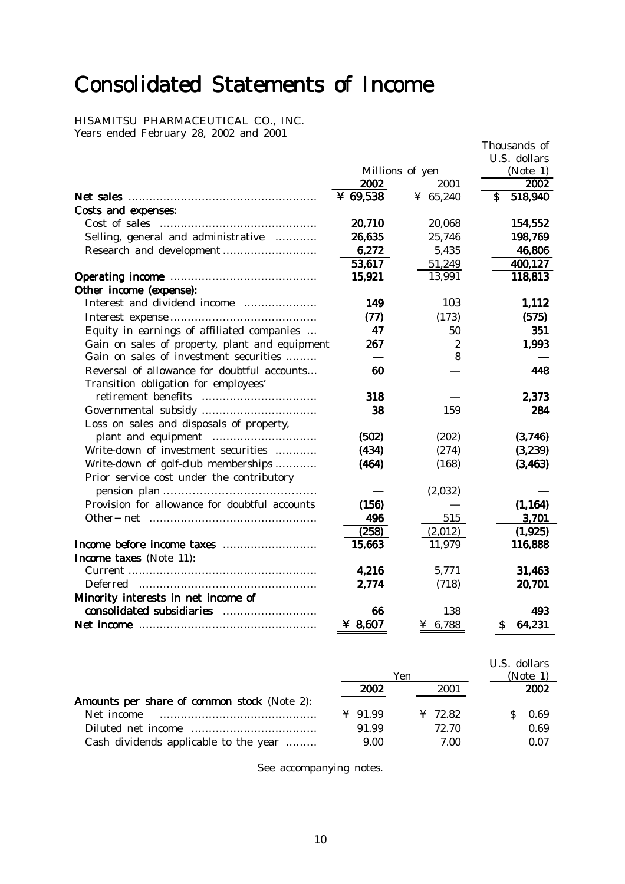# Consolidated Statements of Income

HISAMITSU PHARMACEUTICAL CO., INC. Years ended February 28, 2002 and 2001

|                                                                                     |                 |                  | Thousands of  |
|-------------------------------------------------------------------------------------|-----------------|------------------|---------------|
|                                                                                     |                 |                  | U.S. dollars  |
|                                                                                     | Millions of yen |                  | (Note 1)      |
|                                                                                     | 2002            | 2001             | 2002          |
|                                                                                     | ¥ $69,538$      | ¥ $65,240$       | \$<br>518,940 |
| Costs and expenses:                                                                 |                 |                  |               |
| Cost of sales                                                                       | 20,710          | 20,068           | 154,552       |
| Selling, general and administrative                                                 | 26,635          | 25,746           | 198,769       |
|                                                                                     | 6,272           | 5,435            | 46,806        |
|                                                                                     | 53,617          | 51,249           | 400,127       |
|                                                                                     | 15,921          | 13,991           | 118,813       |
| Other income (expense):                                                             |                 |                  |               |
| Interest and dividend income                                                        | 149             | 103              | 1,112         |
|                                                                                     | (77)            | (173)            | (575)         |
| Equity in earnings of affiliated companies                                          | 47              | 50               | 351           |
| Gain on sales of property, plant and equipment                                      | 267             | $\boldsymbol{2}$ | 1,993         |
| Gain on sales of investment securities                                              |                 | 8                |               |
| Reversal of allowance for doubtful accounts<br>Transition obligation for employees' | 60              |                  | 448           |
|                                                                                     | 318             |                  | 2,373         |
| Loss on sales and disposals of property,                                            | 38              | 159              | 284           |
|                                                                                     | (502)           | (202)            | (3,746)       |
| Write-down of investment securities                                                 | (434)           | (274)            | (3,239)       |
| Write-down of golf-club memberships                                                 | (464)           | (168)            | (3, 463)      |
| Prior service cost under the contributory                                           |                 |                  |               |
|                                                                                     |                 | (2,032)          |               |
| Provision for allowance for doubtful accounts                                       | (156)           |                  | (1, 164)      |
|                                                                                     | 496             | 515              | 3,701         |
|                                                                                     | (258)           | (2,012)          | (1, 925)      |
|                                                                                     | 15,663          | 11,979           | 116,888       |
| Income taxes (Note 11):                                                             |                 |                  |               |
|                                                                                     | 4,216           | 5,771            | 31,463        |
|                                                                                     | 2,774           | (718)            | 20,701        |
| Minority interests in net income of                                                 |                 |                  |               |
|                                                                                     | 66              | 138              | 493           |
|                                                                                     | ¥ $8,607$       | 6,788            | 64,231<br>S   |

|                                             |                | Yen                 | U.S. dollars<br>(Note 1) |
|---------------------------------------------|----------------|---------------------|--------------------------|
|                                             | 2002           | 2001                | 2002                     |
| Amounts per share of common stock (Note 2): |                |                     |                          |
| Net income                                  | $\angle 91.99$ | $\frac{1}{2}$ 72.82 | 0.69                     |
|                                             | 91.99          | 72.70               | 0.69                     |
| Cash dividends applicable to the year       | 9.00           | 7.00                | 0.07                     |

See accompanying notes.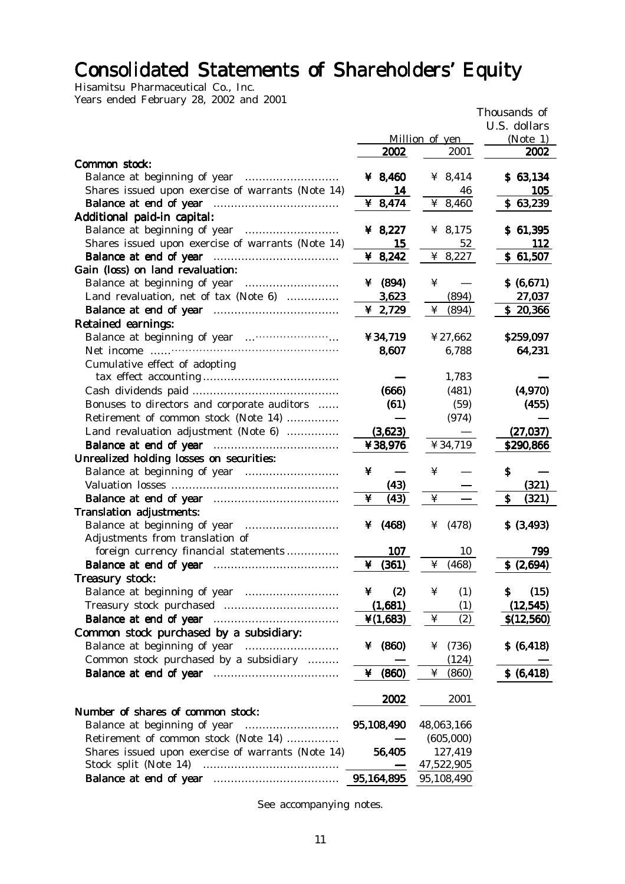# Consolidated Statements of Shareholders' Equity

Hisamitsu Pharmaceutical Co., Inc. Years ended February 28, 2002 and 2001

| $\frac{1}{2}$                                     |                      |                | Thousands of |
|---------------------------------------------------|----------------------|----------------|--------------|
|                                                   |                      |                | U.S. dollars |
|                                                   |                      | Million of yen | (Note 1)     |
|                                                   | 2002                 | 2001           | 2002         |
| Common stock:                                     |                      |                |              |
|                                                   | ¥ 8,460              | ¥ $8,414$      | \$63,134     |
| Shares issued upon exercise of warrants (Note 14) | 14                   | 46             | 105          |
|                                                   | ¥ 8,474              | ¥ 8,460        | \$63,239     |
| Additional paid-in capital:                       |                      |                |              |
|                                                   | ¥ 8,227              | ¥ 8,175        | \$61,395     |
| Shares issued upon exercise of warrants (Note 14) | 15                   | 52             | <b>112</b>   |
|                                                   | ¥ 8,242              | ¥ 8,227        | \$61,507     |
| Gain (loss) on land revaluation:                  |                      |                |              |
|                                                   | ¥ $(894)$            | ¥              | \$ (6,671)   |
| Land revaluation, net of tax (Note 6)             | 3,623                | (894)          | 27,037       |
|                                                   | ¥ 2,729              | ¥<br>(894)     | \$20,366     |
| Retained earnings:                                |                      |                |              |
|                                                   | ¥34,719              | ¥27,662        | \$259,097    |
|                                                   | 8,607                | 6,788          | 64,231       |
| Cumulative effect of adopting                     |                      |                |              |
|                                                   |                      | 1,783          |              |
|                                                   | (666)                | (481)          | (4,970)      |
| Bonuses to directors and corporate auditors       | (61)                 | (59)           | (455)        |
| Retirement of common stock (Note 14)              |                      | (974)          |              |
| Land revaluation adjustment (Note 6)              | (3,623)              |                | (27, 037)    |
|                                                   | ¥38,976              | ¥34,719        | \$290,866    |
| Unrealized holding losses on securities:          |                      |                |              |
|                                                   | ¥                    | ¥              | Ş            |
|                                                   | (43)                 |                | (321)        |
|                                                   | ¥<br>(43)            | ¥              | \$<br>(321)  |
| <b>Translation adjustments:</b>                   |                      |                |              |
|                                                   | ¥ $(468)$            | (478)<br>¥     | \$ (3,493)   |
| Adjustments from translation of                   |                      |                |              |
| foreign currency financial statements             | 107                  | 10             | 799          |
|                                                   | ¥ $(361)$            | (468)<br>¥     | \$ (2,694)   |
| Treasury stock:                                   |                      |                |              |
|                                                   | (2)<br>¥             | ¥<br>(1)       | (15)<br>S    |
|                                                   | (1,681)              | (1)            | (12, 545)    |
|                                                   | $\frac{1}{2}(1,683)$ | ¥<br>(2)       | \$(12, 560)  |
| Common stock purchased by a subsidiary:           |                      |                |              |
|                                                   | ¥ $(860)$            | (736)<br>¥     | \$ (6, 418)  |
| Common stock purchased by a subsidiary            |                      | (124)          |              |
|                                                   | (860)<br>¥           | ¥<br>(860)     | \$ (6, 418)  |
|                                                   |                      |                |              |
|                                                   | 2002                 | 2001           |              |
| Number of shares of common stock:                 |                      |                |              |
| Balance at beginning of year                      | 95,108,490           | 48,063,166     |              |
| Retirement of common stock (Note 14)              |                      | (605,000)      |              |
| Shares issued upon exercise of warrants (Note 14) | 56,405               | 127,419        |              |
| Stock split (Note 14)                             |                      | 47,522,905     |              |
|                                                   | 95,164,895           | 95,108,490     |              |

See accompanying notes.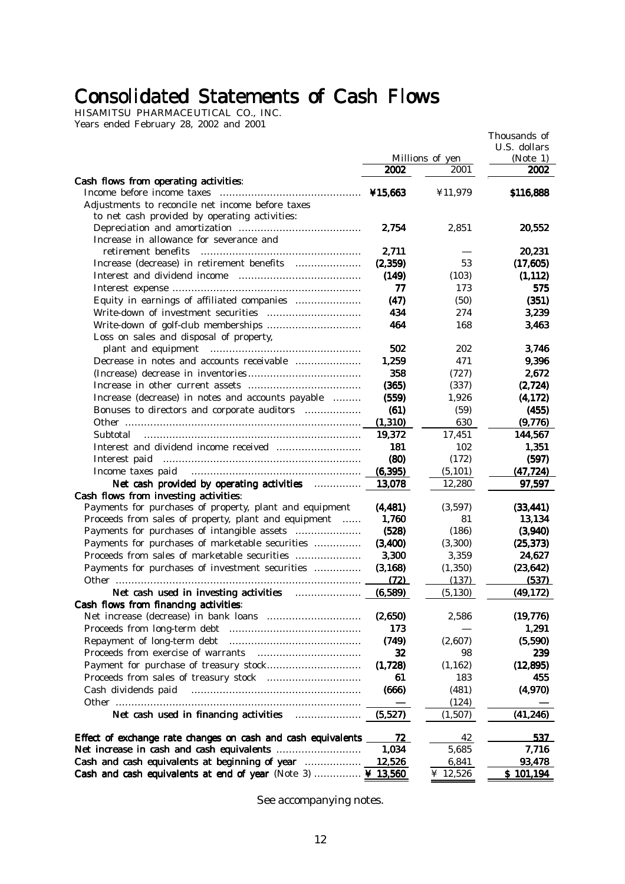## Consolidated Statements of Cash Flows

HISAMITSU PHARMACEUTICAL CO., INC. Years ended February 28, 2002 and 2001

|                                                                |                   | Millions of yen | Thousands of<br>U.S. dollars<br>(Note 1) |
|----------------------------------------------------------------|-------------------|-----------------|------------------------------------------|
|                                                                | 2002              | 2001            | 2002                                     |
| Cash flows from operating activities:                          |                   |                 |                                          |
|                                                                | ¥15.663           | ¥11,979         | \$116,888                                |
| Adjustments to reconcile net income before taxes               |                   |                 |                                          |
| to net cash provided by operating activities:                  |                   |                 |                                          |
|                                                                | 2,754             | 2,851           | 20,552                                   |
| Increase in allowance for severance and<br>retirement benefits |                   |                 |                                          |
| Increase (decrease) in retirement benefits                     | 2,711<br>(2, 359) | 53              | 20,231<br>(17, 605)                      |
|                                                                | (149)             |                 |                                          |
|                                                                | 77                | (103)<br>173    | (1, 112)<br>575                          |
| Equity in earnings of affiliated companies                     | (47)              | (50)            | (351)                                    |
|                                                                | 434               | 274             | 3,239                                    |
|                                                                | 464               | 168             |                                          |
| Loss on sales and disposal of property,                        |                   |                 | 3,463                                    |
|                                                                | 502               | 202             | 3.746                                    |
| Decrease in notes and accounts receivable                      | 1,259             | 471             | 9,396                                    |
|                                                                | 358               | (727)           | 2,672                                    |
|                                                                | (365)             | (337)           | (2, 724)                                 |
| Increase (decrease) in notes and accounts payable              | (559)             | 1,926           | (4, 172)                                 |
| Bonuses to directors and corporate auditors                    | (61)              | (59)            | (455)                                    |
|                                                                | (1, 310)          | 630             | (9,776)                                  |
| Subtotal                                                       | 19,372            | 17,451          | 144,567                                  |
|                                                                | 181               | 102             | 1,351                                    |
|                                                                | (80)              | (172)           | (597)                                    |
| Income taxes paid                                              | (6, 395)          | (5, 101)        | (47, 724)                                |
| Net cash provided by operating activities                      | 13,078            | 12,280          | 97,597                                   |
| Cash flows from investing activities:                          |                   |                 |                                          |
| Payments for purchases of property, plant and equipment        | (4, 481)          | (3,597)         | (33, 441)                                |
| Proceeds from sales of property, plant and equipment           | 1,760             | 81              | 13,134                                   |
| Payments for purchases of intangible assets                    | (528)             | (186)           | (3,940)                                  |
| Payments for purchases of marketable securities                | (3, 400)          | (3,300)         | (25, 373)                                |
| Proceeds from sales of marketable securities                   | 3,300             | 3,359           | 24,627                                   |
| Payments for purchases of investment securities                | (3, 168)          | (1,350)         | (23, 642)                                |
|                                                                | (72)              | (137)           | (537)                                    |
| Net cash used in investing activities                          | (6, 589)          | (5, 130)        | (49, 172)                                |
| Cash flows from financing activities:                          |                   |                 |                                          |
|                                                                | (2,650)           | 2,586           | (19, 776)                                |
|                                                                | 173               |                 | 1,291                                    |
| Repayment of long-term debt                                    | (749)             | (2,607)         | (5,590)                                  |
| Proceeds from exercise of warrants                             | 32                | 98              | 239                                      |
|                                                                | (1,728)           | (1, 162)        | (12, 895)                                |
|                                                                | 61                | 183             | 455                                      |
| Cash dividends paid                                            | (666)             | (481)           | (4,970)                                  |
|                                                                |                   | (124)           |                                          |
| Net cash used in financing activities <b>manufacture</b>       | (5,527)           | (1,507)         | (41, 246)                                |
| Effect of exchange rate changes on cash and cash equivalents   | 72                | 42              | 537                                      |
|                                                                | 1,034             | 5,685           | 7,716                                    |
| Cash and cash equivalents at beginning of year                 | 12,526            | 6,841           | 93,478                                   |
| Cash and cash equivalents at end of year (Note 3)  ¥ 13,560    |                   | ¥ 12,526        | \$101,194                                |

See accompanying notes.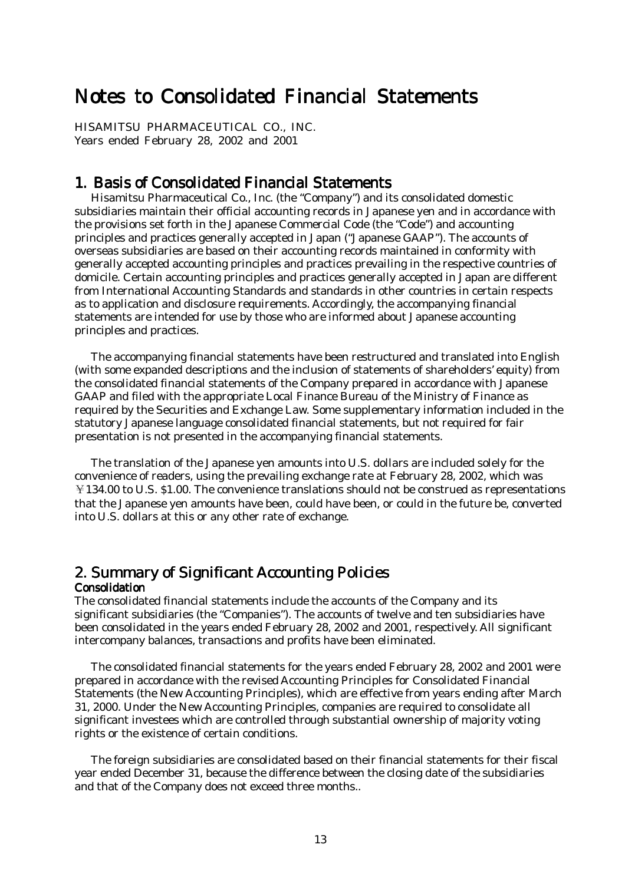## Notes to Consolidated Financial Statements

HISAMITSU PHARMACEUTICAL CO., INC. Years ended February 28, 2002 and 2001

## 1. Basis of Consolidated Financial Statements

 Hisamitsu Pharmaceutical Co., Inc. (the "Company") and its consolidated domestic subsidiaries maintain their official accounting records in Japanese yen and in accordance with the provisions set forth in the Japanese Commercial Code (the "Code") and accounting principles and practices generally accepted in Japan ("Japanese GAAP"). The accounts of overseas subsidiaries are based on their accounting records maintained in conformity with generally accepted accounting principles and practices prevailing in the respective countries of domicile. Certain accounting principles and practices generally accepted in Japan are different from International Accounting Standards and standards in other countries in certain respects as to application and disclosure requirements. Accordingly, the accompanying financial statements are intended for use by those who are informed about Japanese accounting principles and practices.

 The accompanying financial statements have been restructured and translated into English (with some expanded descriptions and the inclusion of statements of shareholders' equity) from the consolidated financial statements of the Company prepared in accordance with Japanese GAAP and filed with the appropriate Local Finance Bureau of the Ministry of Finance as required by the Securities and Exchange Law. Some supplementary information included in the statutory Japanese language consolidated financial statements, but not required for fair presentation is not presented in the accompanying financial statements.

 The translation of the Japanese yen amounts into U.S. dollars are included solely for the convenience of readers, using the prevailing exchange rate at February 28, 2002, which was ¥134.00 to U.S. \$1.00. The convenience translations should not be construed as representations that the Japanese yen amounts have been, could have been, or could in the future be, converted into U.S. dollars at this or any other rate of exchange.

## 2. Summary of Significant Accounting Policies

#### **Consolidation**

The consolidated financial statements include the accounts of the Company and its significant subsidiaries (the "Companies"). The accounts of twelve and ten subsidiaries have been consolidated in the years ended February 28, 2002 and 2001, respectively. All significant intercompany balances, transactions and profits have been eliminated.

 The consolidated financial statements for the years ended February 28, 2002 and 2001 were prepared in accordance with the revised Accounting Principles for Consolidated Financial Statements (the New Accounting Principles), which are effective from years ending after March 31, 2000. Under the New Accounting Principles, companies are required to consolidate all significant investees which are controlled through substantial ownership of majority voting rights or the existence of certain conditions.

 The foreign subsidiaries are consolidated based on their financial statements for their fiscal year ended December 31, because the difference between the closing date of the subsidiaries and that of the Company does not exceed three months..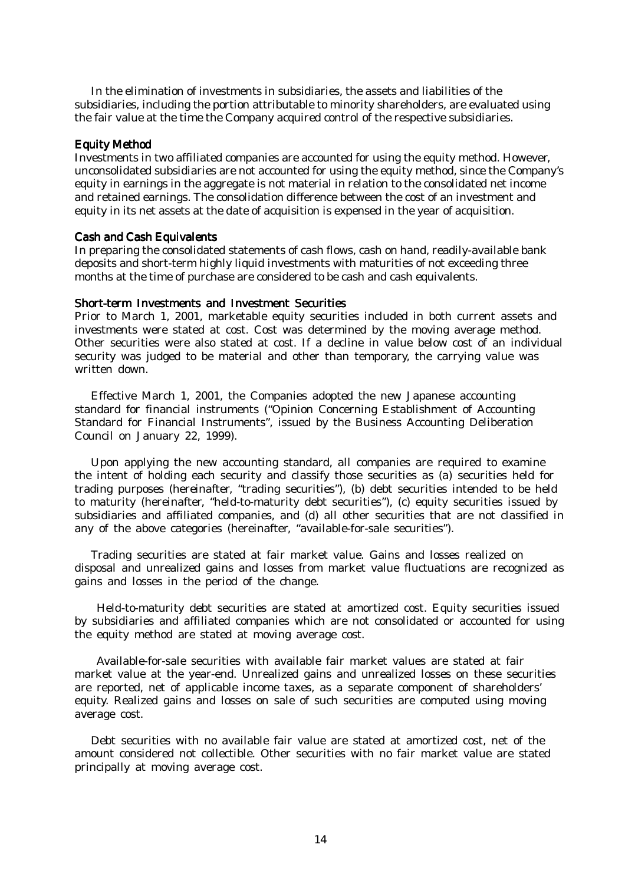In the elimination of investments in subsidiaries, the assets and liabilities of the subsidiaries, including the portion attributable to minority shareholders, are evaluated using the fair value at the time the Company acquired control of the respective subsidiaries.

#### **Equity Method**

Investments in two affiliated companies are accounted for using the equity method. However, unconsolidated subsidiaries are not accounted for using the equity method, since the Company's equity in earnings in the aggregate is not material in relation to the consolidated net income and retained earnings. The consolidation difference between the cost of an investment and equity in its net assets at the date of acquisition is expensed in the year of acquisition.

#### **Cash and Cash Equivalents**

In preparing the consolidated statements of cash flows, cash on hand, readily-available bank deposits and short-term highly liquid investments with maturities of not exceeding three months at the time of purchase are considered to be cash and cash equivalents.

#### Short-term Investments and Investment Securities

Prior to March 1, 2001, marketable equity securities included in both current assets and investments were stated at cost. Cost was determined by the moving average method. Other securities were also stated at cost. If a decline in value below cost of an individual security was judged to be material and other than temporary, the carrying value was written down.

 Effective March 1, 2001, the Companies adopted the new Japanese accounting standard for financial instruments ("Opinion Concerning Establishment of Accounting Standard for Financial Instruments", issued by the Business Accounting Deliberation Council on January 22, 1999).

 Upon applying the new accounting standard, all companies are required to examine the intent of holding each security and classify those securities as (a) securities held for trading purposes (hereinafter, "trading securities"), (b) debt securities intended to be held to maturity (hereinafter, "held-to-maturity debt securities"), (c) equity securities issued by subsidiaries and affiliated companies, and (d) all other securities that are not classified in any of the above categories (hereinafter, "available-for-sale securities").

 Trading securities are stated at fair market value. Gains and losses realized on disposal and unrealized gains and losses from market value fluctuations are recognized as gains and losses in the period of the change.

Held-to-maturity debt securities are stated at amortized cost. Equity securities issued by subsidiaries and affiliated companies which are not consolidated or accounted for using the equity method are stated at moving average cost.

Available-for-sale securities with available fair market values are stated at fair market value at the year-end. Unrealized gains and unrealized losses on these securities are reported, net of applicable income taxes, as a separate component of shareholders' equity. Realized gains and losses on sale of such securities are computed using moving average cost.

 Debt securities with no available fair value are stated at amortized cost, net of the amount considered not collectible. Other securities with no fair market value are stated principally at moving average cost.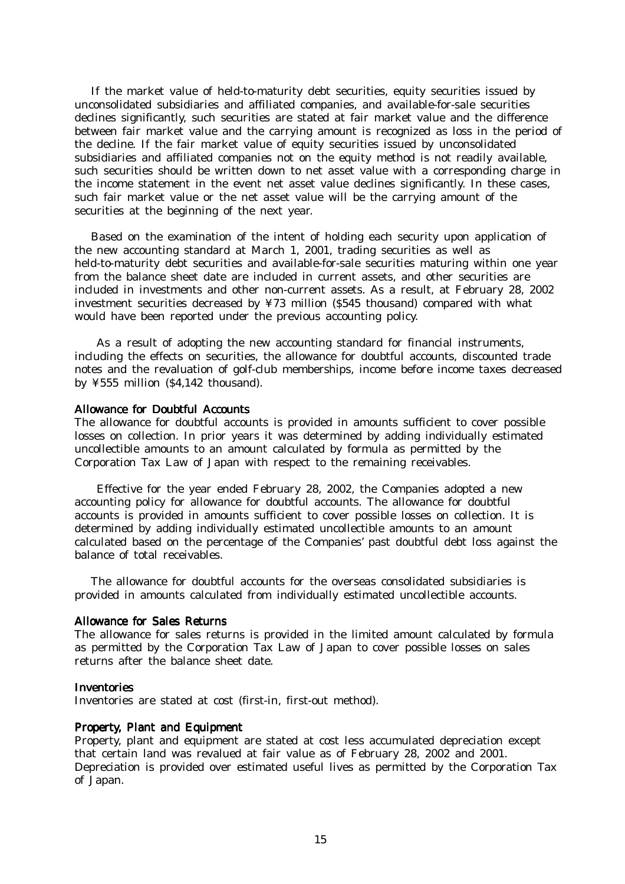If the market value of held-to-maturity debt securities, equity securities issued by unconsolidated subsidiaries and affiliated companies, and available-for-sale securities declines significantly, such securities are stated at fair market value and the difference between fair market value and the carrying amount is recognized as loss in the period of the decline. If the fair market value of equity securities issued by unconsolidated subsidiaries and affiliated companies not on the equity method is not readily available, such securities should be written down to net asset value with a corresponding charge in the income statement in the event net asset value declines significantly. In these cases, such fair market value or the net asset value will be the carrying amount of the securities at the beginning of the next year.

 Based on the examination of the intent of holding each security upon application of the new accounting standard at March 1, 2001, trading securities as well as held-to-maturity debt securities and available-for-sale securities maturing within one year from the balance sheet date are included in current assets, and other securities are included in investments and other non-current assets. As a result, at February 28, 2002 investment securities decreased by ¥73 million (\$545 thousand) compared with what would have been reported under the previous accounting policy.

As a result of adopting the new accounting standard for financial instruments, including the effects on securities, the allowance for doubtful accounts, discounted trade notes and the revaluation of golf-club memberships, income before income taxes decreased by ¥555 million (\$4,142 thousand).

#### Allowance for Doubtful Accounts

The allowance for doubtful accounts is provided in amounts sufficient to cover possible losses on collection. In prior years it was determined by adding individually estimated uncollectible amounts to an amount calculated by formula as permitted by the Corporation Tax Law of Japan with respect to the remaining receivables.

Effective for the year ended February 28, 2002, the Companies adopted a new accounting policy for allowance for doubtful accounts. The allowance for doubtful accounts is provided in amounts sufficient to cover possible losses on collection. It is determined by adding individually estimated uncollectible amounts to an amount calculated based on the percentage of the Companies' past doubtful debt loss against the balance of total receivables.

 The allowance for doubtful accounts for the overseas consolidated subsidiaries is provided in amounts calculated from individually estimated uncollectible accounts.

#### Allowance for Sales Returns

The allowance for sales returns is provided in the limited amount calculated by formula as permitted by the Corporation Tax Law of Japan to cover possible losses on sales returns after the balance sheet date.

#### **Inventories**

Inventories are stated at cost (first-in, first-out method).

#### Property, Plant and Equipment

Property, plant and equipment are stated at cost less accumulated depreciation except that certain land was revalued at fair value as of February 28, 2002 and 2001. Depreciation is provided over estimated useful lives as permitted by the Corporation Tax of Japan.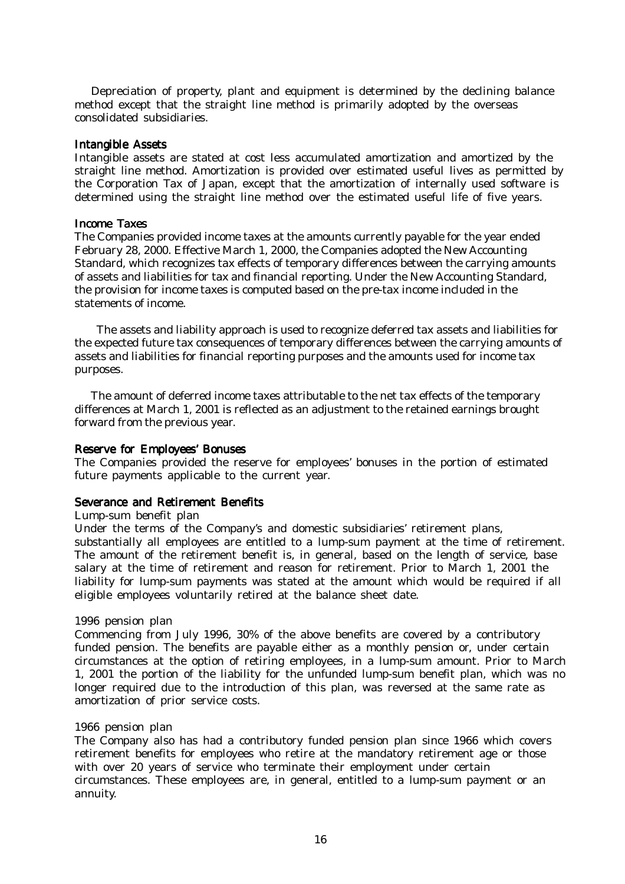Depreciation of property, plant and equipment is determined by the declining balance method except that the straight line method is primarily adopted by the overseas consolidated subsidiaries.

#### **Intangible Assets**

Intangible assets are stated at cost less accumulated amortization and amortized by the straight line method. Amortization is provided over estimated useful lives as permitted by the Corporation Tax of Japan, except that the amortization of internally used software is determined using the straight line method over the estimated useful life of five years.

#### **Income Taxes**

The Companies provided income taxes at the amounts currently payable for the year ended February 28, 2000. Effective March 1, 2000, the Companies adopted the New Accounting Standard, which recognizes tax effects of temporary differences between the carrying amounts of assets and liabilities for tax and financial reporting. Under the New Accounting Standard, the provision for income taxes is computed based on the pre-tax income included in the statements of income.

The assets and liability approach is used to recognize deferred tax assets and liabilities for the expected future tax consequences of temporary differences between the carrying amounts of assets and liabilities for financial reporting purposes and the amounts used for income tax purposes.

 The amount of deferred income taxes attributable to the net tax effects of the temporary differences at March 1, 2001 is reflected as an adjustment to the retained earnings brought forward from the previous year.

#### Reserve for Employees' Bonuses

The Companies provided the reserve for employees' bonuses in the portion of estimated future payments applicable to the current year.

#### Severance and Retirement Benefits

#### Lump-sum benefit plan

Under the terms of the Company's and domestic subsidiaries' retirement plans, substantially all employees are entitled to a lump-sum payment at the time of retirement. The amount of the retirement benefit is, in general, based on the length of service, base salary at the time of retirement and reason for retirement. Prior to March 1, 2001 the liability for lump-sum payments was stated at the amount which would be required if all eligible employees voluntarily retired at the balance sheet date.

#### 1996 pension plan

Commencing from July 1996, 30% of the above benefits are covered by a contributory funded pension. The benefits are payable either as a monthly pension or, under certain circumstances at the option of retiring employees, in a lump-sum amount. Prior to March 1, 2001 the portion of the liability for the unfunded lump-sum benefit plan, which was no longer required due to the introduction of this plan, was reversed at the same rate as amortization of prior service costs.

#### 1966 pension plan

The Company also has had a contributory funded pension plan since 1966 which covers retirement benefits for employees who retire at the mandatory retirement age or those with over 20 years of service who terminate their employment under certain circumstances. These employees are, in general, entitled to a lump-sum payment or an annuity.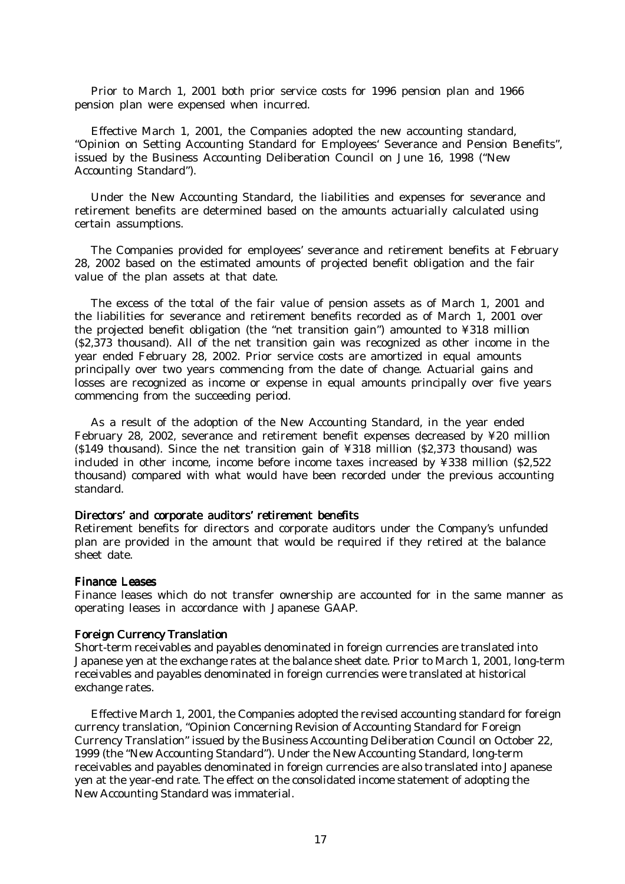Prior to March 1, 2001 both prior service costs for 1996 pension plan and 1966 pension plan were expensed when incurred.

Effective March 1, 2001, the Companies adopted the new accounting standard, "Opinion on Setting Accounting Standard for Employees' Severance and Pension Benefits", issued by the Business Accounting Deliberation Council on June 16, 1998 ("New Accounting Standard").

 Under the New Accounting Standard, the liabilities and expenses for severance and retirement benefits are determined based on the amounts actuarially calculated using certain assumptions.

 The Companies provided for employees' severance and retirement benefits at February 28, 2002 based on the estimated amounts of projected benefit obligation and the fair value of the plan assets at that date.

 The excess of the total of the fair value of pension assets as of March 1, 2001 and the liabilities for severance and retirement benefits recorded as of March 1, 2001 over the projected benefit obligation (the "net transition gain") amounted to ¥318 million (\$2,373 thousand). All of the net transition gain was recognized as other income in the year ended February 28, 2002. Prior service costs are amortized in equal amounts principally over two years commencing from the date of change. Actuarial gains and losses are recognized as income or expense in equal amounts principally over five years commencing from the succeeding period.

 As a result of the adoption of the New Accounting Standard, in the year ended February 28, 2002, severance and retirement benefit expenses decreased by ¥20 million (\$149 thousand). Since the net transition gain of ¥318 million (\$2,373 thousand) was included in other income, income before income taxes increased by ¥338 million (\$2,522 thousand) compared with what would have been recorded under the previous accounting standard.

#### Directors' and corporate auditors' retirement benefits

Retirement benefits for directors and corporate auditors under the Company's unfunded plan are provided in the amount that would be required if they retired at the balance sheet date.

#### Finance Leases

Finance leases which do not transfer ownership are accounted for in the same manner as operating leases in accordance with Japanese GAAP.

#### Foreign Currency Translation

Short-term receivables and payables denominated in foreign currencies are translated into Japanese yen at the exchange rates at the balance sheet date. Prior to March 1, 2001, long-term receivables and payables denominated in foreign currencies were translated at historical exchange rates.

 Effective March 1, 2001, the Companies adopted the revised accounting standard for foreign currency translation, "Opinion Concerning Revision of Accounting Standard for Foreign Currency Translation" issued by the Business Accounting Deliberation Council on October 22, 1999 (the "New Accounting Standard"). Under the New Accounting Standard, long-term receivables and payables denominated in foreign currencies are also translated into Japanese yen at the year-end rate. The effect on the consolidated income statement of adopting the New Accounting Standard was immaterial.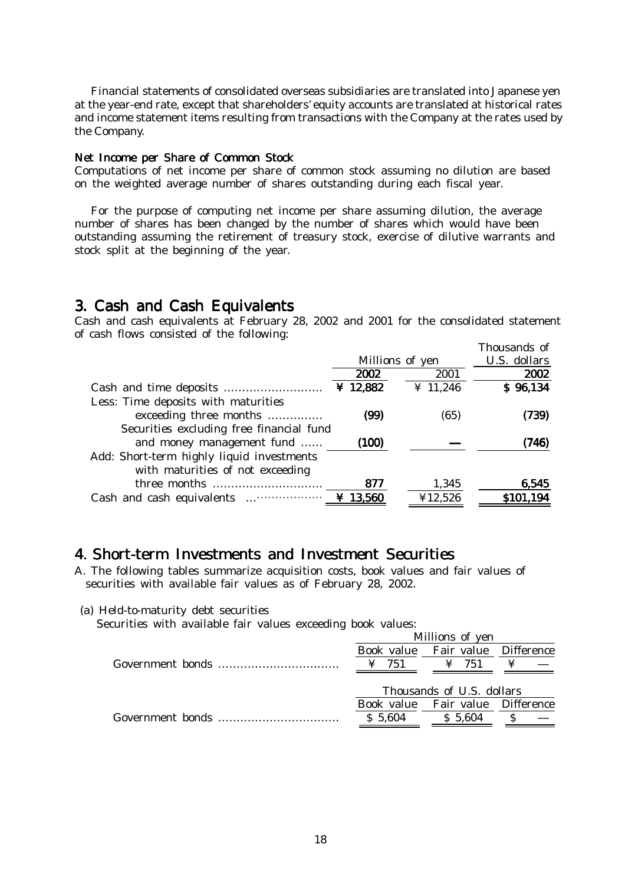Financial statements of consolidated overseas subsidiaries are translated into Japanese yen at the year-end rate, except that shareholders' equity accounts are translated at historical rates and income statement items resulting from transactions with the Company at the rates used by the Company.

#### Net Income per Share of Common Stock

Computations of net income per share of common stock assuming no dilution are based on the weighted average number of shares outstanding during each fiscal year.

 For the purpose of computing net income per share assuming dilution, the average number of shares has been changed by the number of shares which would have been outstanding assuming the retirement of treasury stock, exercise of dilutive warrants and stock split at the beginning of the year.

### 3. Cash and Cash Equivalents Equivalents

Cash and cash equivalents at February 28, 2002 and 2001 for the consolidated statement of cash flows consisted of the following:

|                                           |            |                 | Thousands of |
|-------------------------------------------|------------|-----------------|--------------|
|                                           |            | Millions of yen | U.S. dollars |
|                                           | 2002       | 2001            | 2002         |
|                                           | ¥ 12,882   | ¥ 11,246        | \$96,134     |
| Less: Time deposits with maturities       |            |                 |              |
| exceeding three months                    | (99)       | (65)            | (739)        |
| Securities excluding free financial fund  |            |                 |              |
| and money management fund                 | (100)      |                 | (746)        |
| Add: Short-term highly liquid investments |            |                 |              |
| with maturities of not exceeding          |            |                 |              |
|                                           | 877        | 1,345           | 6,545        |
|                                           | $¥$ 13,560 | ¥12,526         | \$101,194    |
|                                           |            |                 |              |

## 4. Short-term Investments and Investment Securities

A. The following tables summarize acquisition costs, book values and fair values of securities with available fair values as of February 28, 2002.

(a) Held-to-maturity debt securities

Securities with available fair values exceeding book values:

|                                                                          |         | Millions of yen                  |  |
|--------------------------------------------------------------------------|---------|----------------------------------|--|
|                                                                          |         | Book value Fair value Difference |  |
| Government bonds $\dots \dots \dots \dots \dots \dots \dots \dots \dots$ | 751     | $\angle 751$                     |  |
|                                                                          |         |                                  |  |
|                                                                          |         | Thousands of U.S. dollars        |  |
|                                                                          |         | Book value Fair value Difference |  |
| Government bonds $\ldots$ $\ldots$ $\ldots$ $\ldots$ $\ldots$            | S 5.604 | S 5.604                          |  |
|                                                                          |         |                                  |  |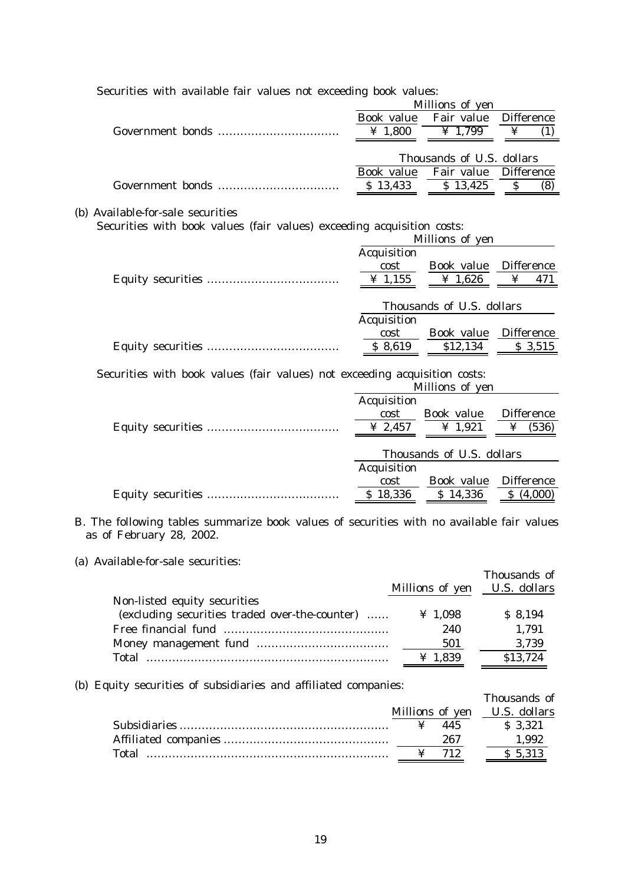| Securities with available fair values not exceeding book values:                                                      |                     |                           |                      |
|-----------------------------------------------------------------------------------------------------------------------|---------------------|---------------------------|----------------------|
|                                                                                                                       |                     | Millions of yen           |                      |
|                                                                                                                       | Book value          | Fair value                | <b>Difference</b>    |
|                                                                                                                       | ¥ 1,800             | $\overline{4}$ 1,799      | ¥<br>(1)             |
|                                                                                                                       |                     | Thousands of U.S. dollars |                      |
|                                                                                                                       | Book value          | Fair value                | <b>Difference</b>    |
|                                                                                                                       | \$13,433            | $\overline{S}$ 13,425     | $\mathcal{S}$<br>(8) |
|                                                                                                                       |                     |                           |                      |
| (b) Available-for-sale securities                                                                                     |                     |                           |                      |
| Securities with book values (fair values) exceeding acquisition costs:                                                |                     |                           |                      |
|                                                                                                                       |                     | Millions of yen           |                      |
|                                                                                                                       | Acquisition         |                           |                      |
|                                                                                                                       | cost                | Book value                | Difference           |
|                                                                                                                       | $\frac{1}{4}$ 1,155 | ¥ 1,626                   | ¥<br>471             |
|                                                                                                                       |                     |                           |                      |
|                                                                                                                       |                     | Thousands of U.S. dollars |                      |
|                                                                                                                       | Acquisition         |                           |                      |
|                                                                                                                       | cost                | Book value                | Difference           |
|                                                                                                                       | \$8,619             | \$12,134                  | \$3,515              |
|                                                                                                                       |                     |                           |                      |
| Securities with book values (fair values) not exceeding acquisition costs:                                            |                     |                           |                      |
|                                                                                                                       |                     | Millions of yen           |                      |
|                                                                                                                       | Acquisition         |                           |                      |
|                                                                                                                       | cost                | Book value                | Difference           |
|                                                                                                                       | ¥ 2,457             | ¥ 1,921                   | ¥<br>(536)           |
|                                                                                                                       |                     |                           |                      |
|                                                                                                                       |                     | Thousands of U.S. dollars |                      |
|                                                                                                                       | Acquisition         |                           |                      |
|                                                                                                                       | cost                | Book value                | Difference           |
|                                                                                                                       | \$18,336            | \$14,336                  | \$ (4,000)           |
| B. The following tables summarize book values of securities with no available fair values<br>as of February 28, 2002. |                     |                           |                      |
|                                                                                                                       |                     |                           |                      |
| (a) Available-for-sale securities:                                                                                    |                     |                           |                      |
|                                                                                                                       |                     |                           | Thousands of         |
|                                                                                                                       |                     | Millions of yen           | U.S. dollars         |
| Non-listed equity securities                                                                                          |                     |                           |                      |

| Non-listed equity securities                   |              |          |
|------------------------------------------------|--------------|----------|
| (excluding securities traded over-the-counter) | ¥ 1.098      | S 8.194  |
|                                                | 240          | 1.791    |
|                                                | 501          | 3.739    |
| Total                                          | $\geq 1.839$ | \$13.724 |

(b) Equity securities of subsidiaries and affiliated companies:

| $\mu$ , $\mu$ and $\mu$ is the substantial $\mu$ and $\mu$ and $\mu$ and $\mu$ |                              |              |
|--------------------------------------------------------------------------------|------------------------------|--------------|
|                                                                                |                              | Thousands of |
|                                                                                | Millions of yen U.S. dollars |              |
|                                                                                | 445                          | S 3.321      |
|                                                                                | 267                          | 1.992        |
|                                                                                |                              | \$ 5,313     |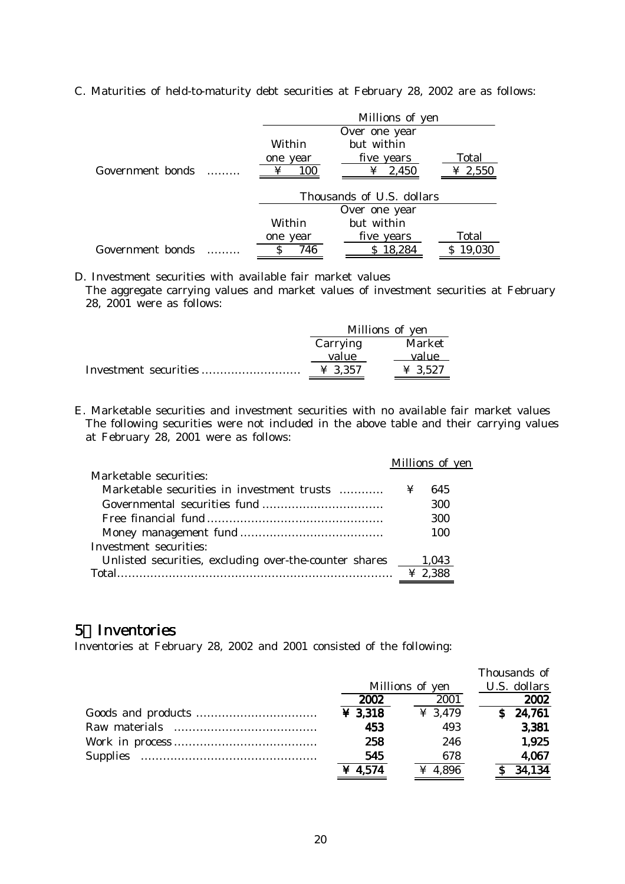|                  | Millions of yen           |               |        |  |  |
|------------------|---------------------------|---------------|--------|--|--|
|                  |                           | Over one year |        |  |  |
|                  | but within<br>Within      |               |        |  |  |
|                  | one year                  | five years    | Total  |  |  |
| Government bonds | 100                       | ¥ 2,550       |        |  |  |
|                  | Thousands of U.S. dollars |               |        |  |  |
|                  |                           | Over one year |        |  |  |
|                  | Within                    | but within    |        |  |  |
|                  | one year                  | five years    | Total  |  |  |
| Government bonds | 746                       | 18,284        | 19,030 |  |  |

C. Maturities of held-to-maturity debt securities at February 28, 2002 are as follows:

D. Investment securities with available fair market values

The aggregate carrying values and market values of investment securities at February 28, 2001 were as follows:

| Millions of yen     |                     |  |
|---------------------|---------------------|--|
| Market<br>Carrying  |                     |  |
| value               | value               |  |
| $\frac{1}{2}$ 3.357 | $\textbf{\&} 3.527$ |  |

E. Marketable securities and investment securities with no available fair market values The following securities were not included in the above table and their carrying values at February 28, 2001 were as follows:

|                                                        |   | Millions of yen |  |
|--------------------------------------------------------|---|-----------------|--|
| Marketable securities:                                 |   |                 |  |
| Marketable securities in investment trusts             | ¥ | 645             |  |
|                                                        |   | 300             |  |
|                                                        |   | 300             |  |
|                                                        |   | 100             |  |
| Investment securities:                                 |   |                 |  |
| Unlisted securities, excluding over-the-counter shares |   | 1.043           |  |
| Total                                                  |   | $\geq 2,388$    |  |
|                                                        |   |                 |  |

## 5 Inventories

Inventories at February 28, 2002 and 2001 consisted of the following:

|         |                 | Thousands of |
|---------|-----------------|--------------|
|         | Millions of yen | U.S. dollars |
| 2002    | 2001            | 2002         |
| ¥ 3,318 | ¥ 3,479         | 24,761<br>S. |
| 453     | 493             | 3,381        |
| 258     | 246             | 1,925        |
| 545     | 678             | 4,067        |
| ¥ 4,574 | ¥ 4,896         | 34,134       |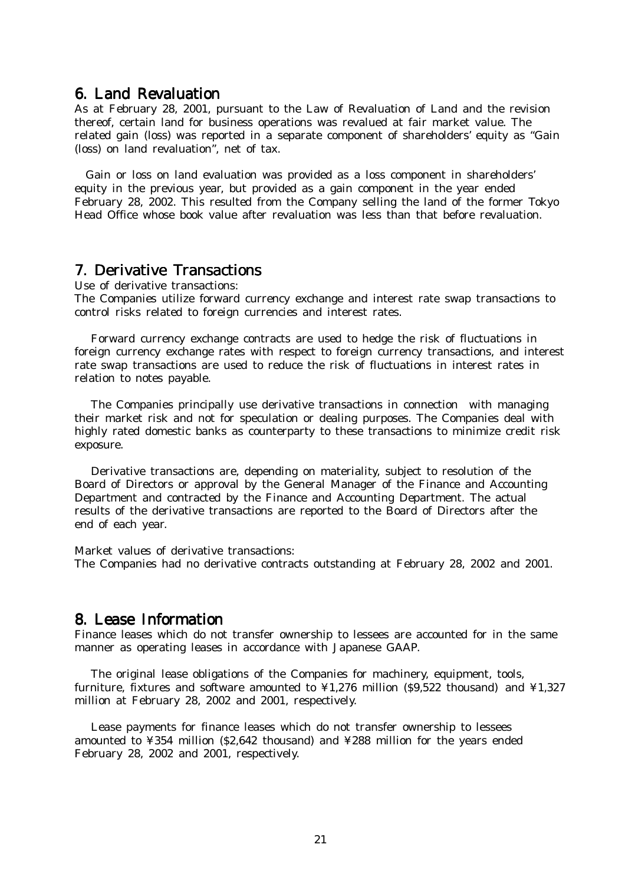### 6. Land Revaluation

As at February 28, 2001, pursuant to the Law of Revaluation of Land and the revision thereof, certain land for business operations was revalued at fair market value. The related gain (loss) was reported in a separate component of shareholders' equity as "Gain (loss) on land revaluation", net of tax.

Gain or loss on land evaluation was provided as a loss component in shareholders' equity in the previous year, but provided as a gain component in the year ended February 28, 2002. This resulted from the Company selling the land of the former Tokyo Head Office whose book value after revaluation was less than that before revaluation.

## 7. Derivative Transactions

Use of derivative transactions:

The Companies utilize forward currency exchange and interest rate swap transactions to control risks related to foreign currencies and interest rates.

 Forward currency exchange contracts are used to hedge the risk of fluctuations in foreign currency exchange rates with respect to foreign currency transactions, and interest rate swap transactions are used to reduce the risk of fluctuations in interest rates in relation to notes payable.

 The Companies principally use derivative transactions in connection with managing their market risk and not for speculation or dealing purposes. The Companies deal with highly rated domestic banks as counterparty to these transactions to minimize credit risk exposure.

 Derivative transactions are, depending on materiality, subject to resolution of the Board of Directors or approval by the General Manager of the Finance and Accounting Department and contracted by the Finance and Accounting Department. The actual results of the derivative transactions are reported to the Board of Directors after the end of each year.

Market values of derivative transactions: The Companies had no derivative contracts outstanding at February 28, 2002 and 2001.

## 8. Lease Information

Finance leases which do not transfer ownership to lessees are accounted for in the same manner as operating leases in accordance with Japanese GAAP.

 The original lease obligations of the Companies for machinery, equipment, tools, furniture, fixtures and software amounted to  $\frac{1}{276}$  million (\$9,522 thousand) and  $\frac{1}{27327}$ million at February 28, 2002 and 2001, respectively.

 Lease payments for finance leases which do not transfer ownership to lessees amounted to ¥354 million (\$2,642 thousand) and ¥288 million for the years ended February 28, 2002 and 2001, respectively.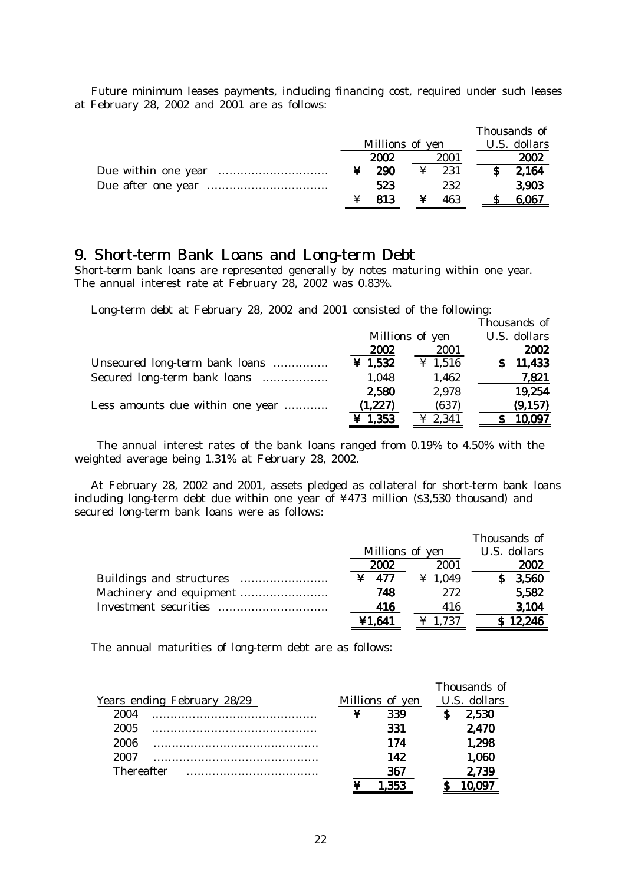Future minimum leases payments, including financing cost, required under such leases at February 28, 2002 and 2001 are as follows:

|                 |      | Thousands of |
|-----------------|------|--------------|
| Millions of yen |      | U.S. dollars |
| 2002            | 2001 | 2002         |
| 290             | 231  | 2,164        |
| 523             | 232  | 3.903        |
| 813             | 463  | 6.067        |

## 9. Short-term Bank Loans and Long-term Debt

Short-term bank loans are represented generally by notes maturing within one year. The annual interest rate at February 28, 2002 was 0.83%.

Long-term debt at February 28, 2002 and 2001 consisted of the following:

|                                  |           |                 | Thousands of |
|----------------------------------|-----------|-----------------|--------------|
|                                  |           | Millions of yen | U.S. dollars |
|                                  | 2002      | 2001            | 2002         |
| Unsecured long-term bank loans   | ¥ $1,532$ | ¥ 1,516         | 11,433       |
| Secured long-term bank loans     | 1,048     | 1,462           | 7,821        |
|                                  | 2,580     | 2,978           | 19,254       |
| Less amounts due within one year | (1, 227)  | (637)           | (9, 157)     |
|                                  | ¥ $1,353$ | ¥ 2,341         | 10,097       |
|                                  |           |                 |              |

 The annual interest rates of the bank loans ranged from 0.19% to 4.50% with the weighted average being 1.31% at February 28, 2002.

 At February 28, 2002 and 2001, assets pledged as collateral for short-term bank loans including long-term debt due within one year of ¥473 million (\$3,530 thousand) and secured long-term bank loans were as follows:

|                       |                 |                     | Thousands of |
|-----------------------|-----------------|---------------------|--------------|
|                       | Millions of yen |                     | U.S. dollars |
|                       | 2002            | 2001                | 2002         |
|                       | $\angle 477$    | $\frac{1}{2}$ 1.049 | 3,560        |
|                       | 748             | 272                 | 5,582        |
| Investment securities | 416             | 416                 | 3,104        |
|                       | ¥1,641          | $\frac{1}{2}$ 1.737 | \$12,246     |

The annual maturities of long-term debt are as follows:

|                   |                             |   |                 | Thousands of |
|-------------------|-----------------------------|---|-----------------|--------------|
|                   | Years ending February 28/29 |   | Millions of yen | U.S. dollars |
| 2004              |                             | ¥ | 339             | 2,530        |
| 2005              |                             |   | 331             | 2,470        |
| 2006              |                             |   | 174             | 1,298        |
| 2007              |                             |   | 142             | 1,060        |
| <b>Thereafter</b> |                             |   | 367             | 2,739        |
|                   |                             |   |                 |              |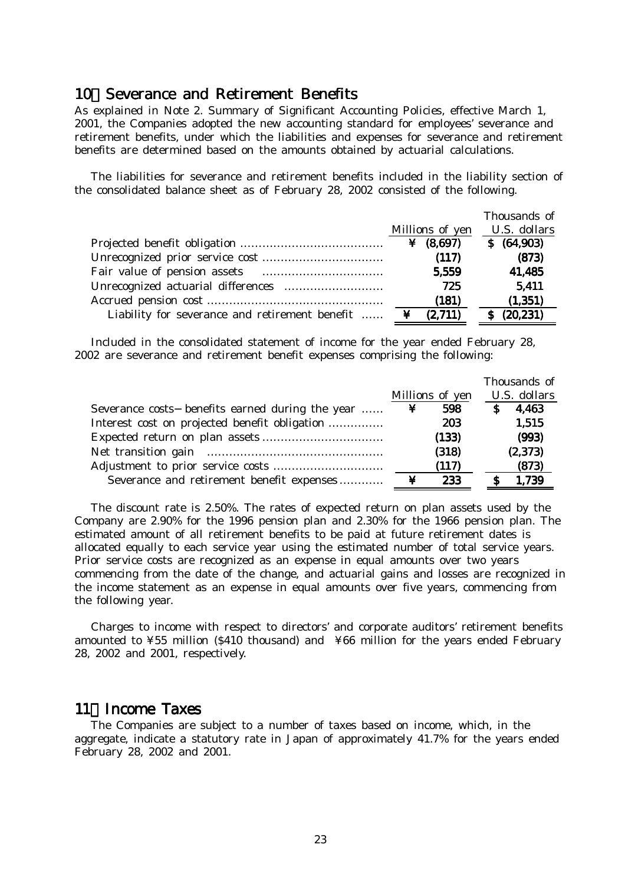### 10 Severance and Retirement Benefits

As explained in Note 2. Summary of Significant Accounting Policies, effective March 1, 2001, the Companies adopted the new accounting standard for employees' severance and retirement benefits, under which the liabilities and expenses for severance and retirement benefits are determined based on the amounts obtained by actuarial calculations.

 The liabilities for severance and retirement benefits included in the liability section of the consolidated balance sheet as of February 28, 2002 consisted of the following.

|                                                                                                                                                                                                        |                  | Thousands of |
|--------------------------------------------------------------------------------------------------------------------------------------------------------------------------------------------------------|------------------|--------------|
|                                                                                                                                                                                                        | Millions of yen  | U.S. dollars |
|                                                                                                                                                                                                        | ¥ $(8,697)$      | \$ (64,903)  |
|                                                                                                                                                                                                        | (117)            | (873)        |
| Fair value of pension assets <b>contained contained contained contained contained contained  contained  contained  contained  contained  contained  contained  contained  contained  contained  co</b> | 5,559            | 41,485       |
|                                                                                                                                                                                                        | 725              | 5.411        |
|                                                                                                                                                                                                        | (181)            | (1, 351)     |
| Liability for severance and retirement benefit                                                                                                                                                         | $\angle$ (2.711) | \$ (20,231)  |

 Included in the consolidated statement of income for the year ended February 28, 2002 are severance and retirement benefit expenses comprising the following:

|                                                 |   |                 | Thousands of |
|-------------------------------------------------|---|-----------------|--------------|
|                                                 |   | Millions of yen | U.S. dollars |
| Severance costs benefits earned during the year | ¥ | 598             | 4,463        |
| Interest cost on projected benefit obligation   |   | 203             | 1,515        |
|                                                 |   | (133)           | (993)        |
|                                                 |   | (318)           | (2, 373)     |
|                                                 |   | (117)           | (873)        |
| Severance and retirement benefit expenses       | ¥ | 233             | 1.739        |

 The discount rate is 2.50%. The rates of expected return on plan assets used by the Company are 2.90% for the 1996 pension plan and 2.30% for the 1966 pension plan. The estimated amount of all retirement benefits to be paid at future retirement dates is allocated equally to each service year using the estimated number of total service years. Prior service costs are recognized as an expense in equal amounts over two years commencing from the date of the change, and actuarial gains and losses are recognized in the income statement as an expense in equal amounts over five years, commencing from the following year.

 Charges to income with respect to directors' and corporate auditors' retirement benefits amounted to ¥55 million (\$410 thousand) and ¥66 million for the years ended February 28, 2002 and 2001, respectively.

## 11 Income Taxes

 The Companies are subject to a number of taxes based on income, which, in the aggregate, indicate a statutory rate in Japan of approximately 41.7% for the years ended February 28, 2002 and 2001.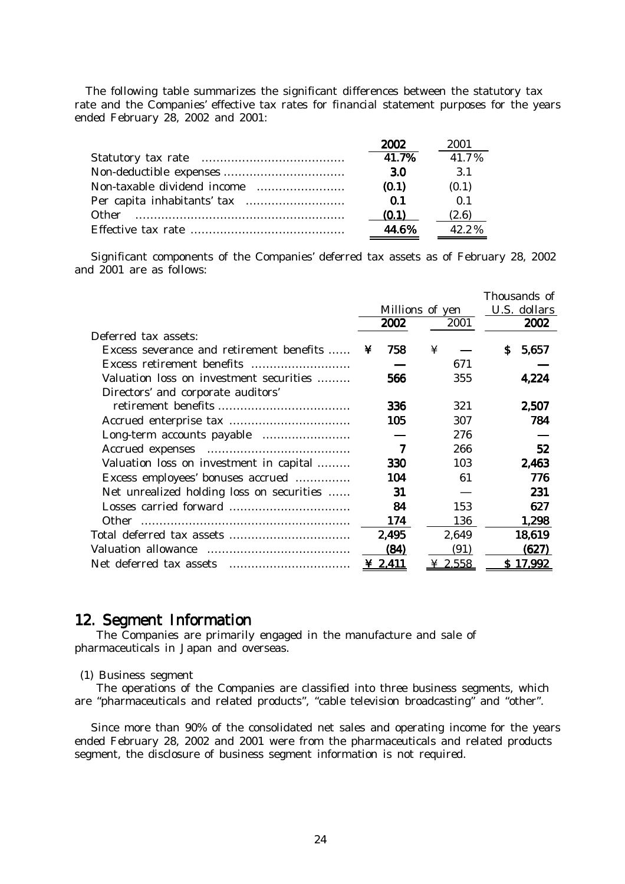The following table summarizes the significant differences between the statutory tax rate and the Companies' effective tax rates for financial statement purposes for the years ended February 28, 2002 and 2001:

|              | 2002  | 2001           |
|--------------|-------|----------------|
|              | 41.7% | 417%           |
|              | 3.0   | 3 1            |
|              | (0.1) | (0.1)          |
|              | 0 1   | 0 <sub>1</sub> |
| <b>Other</b> | (0.1) | (2.6)          |
|              | 44 R% | 42.2%          |

 Significant components of the Companies' deferred tax assets as of February 28, 2002 and 2001 are as follows:

|                                           |                 |              | Thousands of |
|-------------------------------------------|-----------------|--------------|--------------|
|                                           | Millions of yen |              | U.S. dollars |
|                                           | 2002            | 2001         | 2002         |
| Deferred tax assets:                      |                 |              |              |
| Excess severance and retirement benefits  | 758<br>¥        | ¥            | S.<br>5,657  |
|                                           |                 | 671          |              |
| Valuation loss on investment securities   | 566             | 355          | 4,224        |
| Directors' and corporate auditors'        |                 |              |              |
|                                           | 336             | 321          | 2,507        |
|                                           | 105             | 307          | 784          |
|                                           |                 | 276          |              |
|                                           | 7               | 266          | 52           |
| Valuation loss on investment in capital   | 330             | 103          | 2,463        |
| Excess employees' bonuses accrued         | 104             | 61           | 776          |
| Net unrealized holding loss on securities | 31              |              | 231          |
|                                           | 84              | 153          | 627          |
|                                           | 174             | 136          | 1,298        |
|                                           | 2,495           | 2,649        | 18,619       |
|                                           | (84)            | (91)         | (627)        |
| Net deferred tax assets                   | <u>2,411</u>    | <u>2.558</u> | 17.992       |

## 12. Segment Information 12. Segment Information

 The Companies are primarily engaged in the manufacture and sale of pharmaceuticals in Japan and overseas.

(1) Business segment

 The operations of the Companies are classified into three business segments, which are "pharmaceuticals and related products", "cable television broadcasting" and "other".

 Since more than 90% of the consolidated net sales and operating income for the years ended February 28, 2002 and 2001 were from the pharmaceuticals and related products segment, the disclosure of business segment information is not required.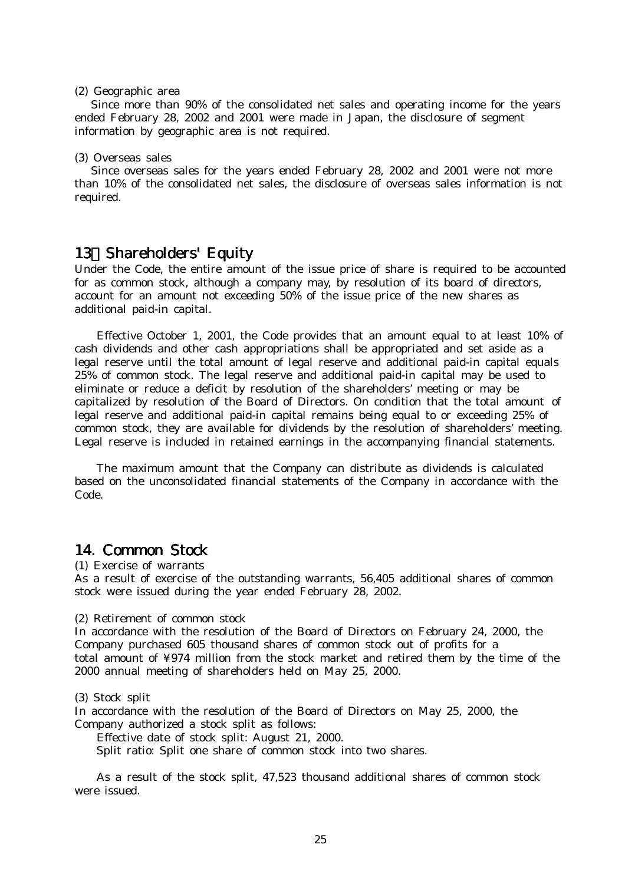#### (2) Geographic area

 Since more than 90% of the consolidated net sales and operating income for the years ended February 28, 2002 and 2001 were made in Japan, the disclosure of segment information by geographic area is not required.

#### (3) Overseas sales

 Since overseas sales for the years ended February 28, 2002 and 2001 were not more than 10% of the consolidated net sales, the disclosure of overseas sales information is not required.

## 13 Shareholders' Equity

Under the Code, the entire amount of the issue price of share is required to be accounted for as common stock, although a company may, by resolution of its board of directors, account for an amount not exceeding 50% of the issue price of the new shares as additional paid-in capital.

Effective October 1, 2001, the Code provides that an amount equal to at least 10% of cash dividends and other cash appropriations shall be appropriated and set aside as a legal reserve until the total amount of legal reserve and additional paid-in capital equals 25% of common stock. The legal reserve and additional paid-in capital may be used to eliminate or reduce a deficit by resolution of the shareholders' meeting or may be capitalized by resolution of the Board of Directors. On condition that the total amount of legal reserve and additional paid-in capital remains being equal to or exceeding 25% of common stock, they are available for dividends by the resolution of shareholders' meeting. Legal reserve is included in retained earnings in the accompanying financial statements.

The maximum amount that the Company can distribute as dividends is calculated based on the unconsolidated financial statements of the Company in accordance with the Code.

## 14. Common Stock

(1) Exercise of warrants

As a result of exercise of the outstanding warrants, 56,405 additional shares of common stock were issued during the year ended February 28, 2002.

(2) Retirement of common stock

In accordance with the resolution of the Board of Directors on February 24, 2000, the Company purchased 605 thousand shares of common stock out of profits for a total amount of ¥974 million from the stock market and retired them by the time of the 2000 annual meeting of shareholders held on May 25, 2000.

#### (3) Stock split

In accordance with the resolution of the Board of Directors on May 25, 2000, the Company authorized a stock split as follows:

Effective date of stock split: August 21, 2000.

Split ratio: Split one share of common stock into two shares.

As a result of the stock split, 47,523 thousand additional shares of common stock were issued.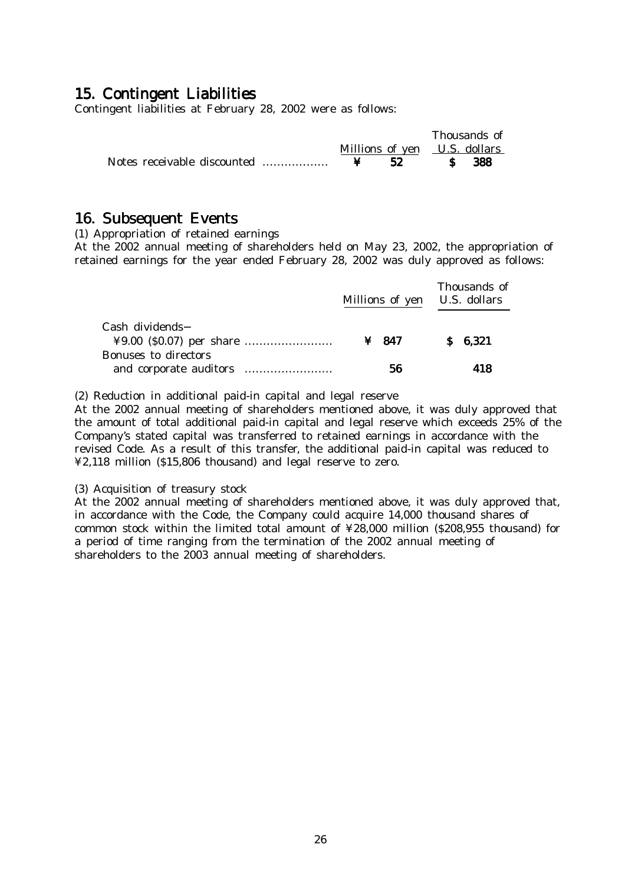## 15. Contingent Liabilities

Contingent liabilities at February 28, 2002 were as follows:

|                              |    | Thousands of |      |  |
|------------------------------|----|--------------|------|--|
| Millions of yen U.S. dollars |    |              |      |  |
|                              | 52 | $\mathbf{s}$ | -388 |  |

## 16. Subsequent Events

(1) Appropriation of retained earnings

At the 2002 annual meeting of shareholders held on May 23, 2002, the appropriation of retained earnings for the year ended February 28, 2002 was duly approved as follows:

|                      | Millions of yen U.S. dollars | Thousands of |  |
|----------------------|------------------------------|--------------|--|
| Cash dividends       | ¥ 847                        | \$6,321      |  |
| Bonuses to directors | 56                           | 418          |  |

(2) Reduction in additional paid-in capital and legal reserve

At the 2002 annual meeting of shareholders mentioned above, it was duly approved that the amount of total additional paid-in capital and legal reserve which exceeds 25% of the Company's stated capital was transferred to retained earnings in accordance with the revised Code. As a result of this transfer, the additional paid-in capital was reduced to ¥2,118 million (\$15,806 thousand) and legal reserve to zero.

(3) Acquisition of treasury stock

At the 2002 annual meeting of shareholders mentioned above, it was duly approved that, in accordance with the Code, the Company could acquire 14,000 thousand shares of common stock within the limited total amount of ¥28,000 million (\$208,955 thousand) for a period of time ranging from the termination of the 2002 annual meeting of shareholders to the 2003 annual meeting of shareholders.